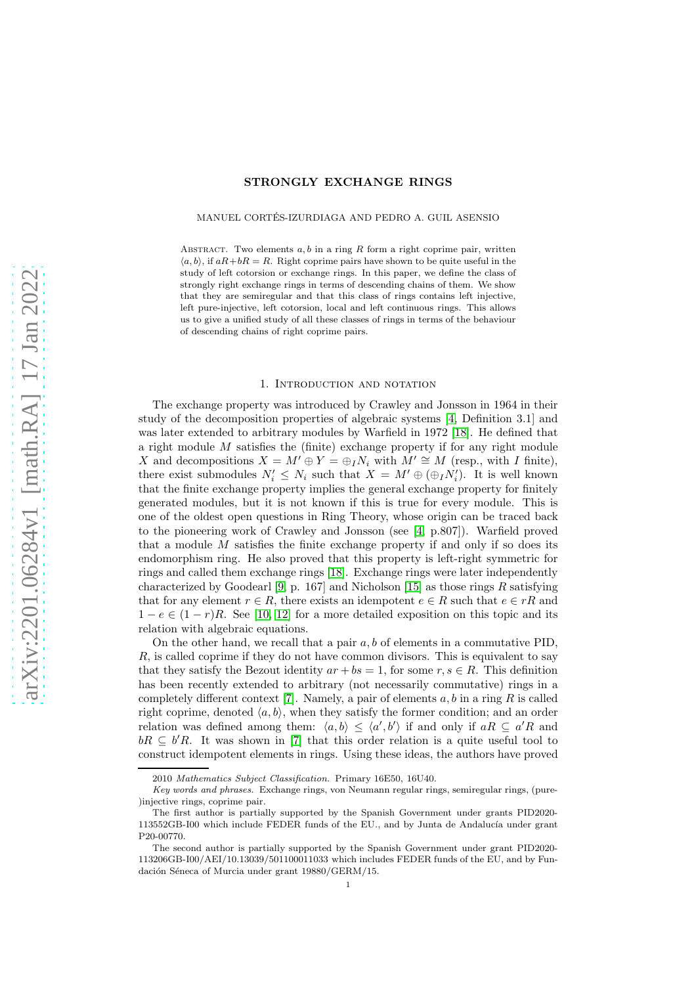# STRONGLY EXCHANGE RINGS

## MANUEL CORTES-IZURDIAGA AND PEDRO A. GUIL ASENSIO ´

ABSTRACT. Two elements  $a, b$  in a ring  $R$  form a right coprime pair, written  $\langle a, b \rangle$ , if  $aR+bR = R$ . Right coprime pairs have shown to be quite useful in the study of left cotorsion or exchange rings. In this paper, we define the class of strongly right exchange rings in terms of descending chains of them. We show that they are semiregular and that this class of rings contains left injective, left pure-injective, left cotorsion, local and left continuous rings. This allows us to give a unified study of all these classes of rings in terms of the behaviour of descending chains of right coprime pairs.

## 1. INTRODUCTION AND NOTATION

The exchange property was introduced by Crawley and Jonsson in 1964 in their study of the decomposition properties of algebraic systems [\[4,](#page-18-0) Definition 3.1] and was later extended to arbitrary modules by Warfield in 1972 [\[18\]](#page-18-1). He defined that a right module M satisfies the (finite) exchange property if for any right module X and decompositions  $X = M' \oplus Y = \bigoplus_I N_i$  with  $M' \cong M$  (resp., with I finite), there exist submodules  $N'_i \leq N_i$  such that  $X = M' \oplus (\bigoplus_i N'_i)$ . It is well known that the finite exchange property implies the general exchange property for finitely generated modules, but it is not known if this is true for every module. This is one of the oldest open questions in Ring Theory, whose origin can be traced back to the pioneering work of Crawley and Jonsson (see [\[4,](#page-18-0) p.807]). Warfield proved that a module  $M$  satisfies the finite exchange property if and only if so does its endomorphism ring. He also proved that this property is left-right symmetric for rings and called them exchange rings [\[18\]](#page-18-1). Exchange rings were later independently characterized by Goodearl [\[9,](#page-18-2) p. 167] and Nicholson [\[15\]](#page-18-3) as those rings  $R$  satisfying that for any element  $r \in R$ , there exists an idempotent  $e \in R$  such that  $e \in rR$  and  $1 - e \in (1 - r)R$ . See [\[10,](#page-18-4) [12\]](#page-18-5) for a more detailed exposition on this topic and its relation with algebraic equations.

On the other hand, we recall that a pair  $a, b$  of elements in a commutative PID. R, is called coprime if they do not have common divisors. This is equivalent to say that they satisfy the Bezout identity  $ar + bs = 1$ , for some  $r, s \in R$ . This definition has been recently extended to arbitrary (not necessarily commutative) rings in a completely different context [\[7\]](#page-18-6). Namely, a pair of elements  $a, b$  in a ring R is called right coprime, denoted  $\langle a, b \rangle$ , when they satisfy the former condition; and an order relation was defined among them:  $\langle a, b \rangle \leq \langle a', b' \rangle$  if and only if  $aR \subseteq a'R$  and  $bR \subseteq b'R$ . It was shown in [\[7\]](#page-18-6) that this order relation is a quite useful tool to construct idempotent elements in rings. Using these ideas, the authors have proved

<sup>2010</sup> Mathematics Subject Classification. Primary 16E50, 16U40.

Key words and phrases. Exchange rings, von Neumann regular rings, semiregular rings, (pure- )injective rings, coprime pair.

The first author is partially supported by the Spanish Government under grants PID2020- 113552GB-I00 which include FEDER funds of the EU., and by Junta de Andalucía under grant P20-00770.

The second author is partially supported by the Spanish Government under grant PID2020- 113206GB-I00/AEI/10.13039/501100011033 which includes FEDER funds of the EU, and by Fundación Séneca of Murcia under grant  $19880/\mathrm{GERM}/15.$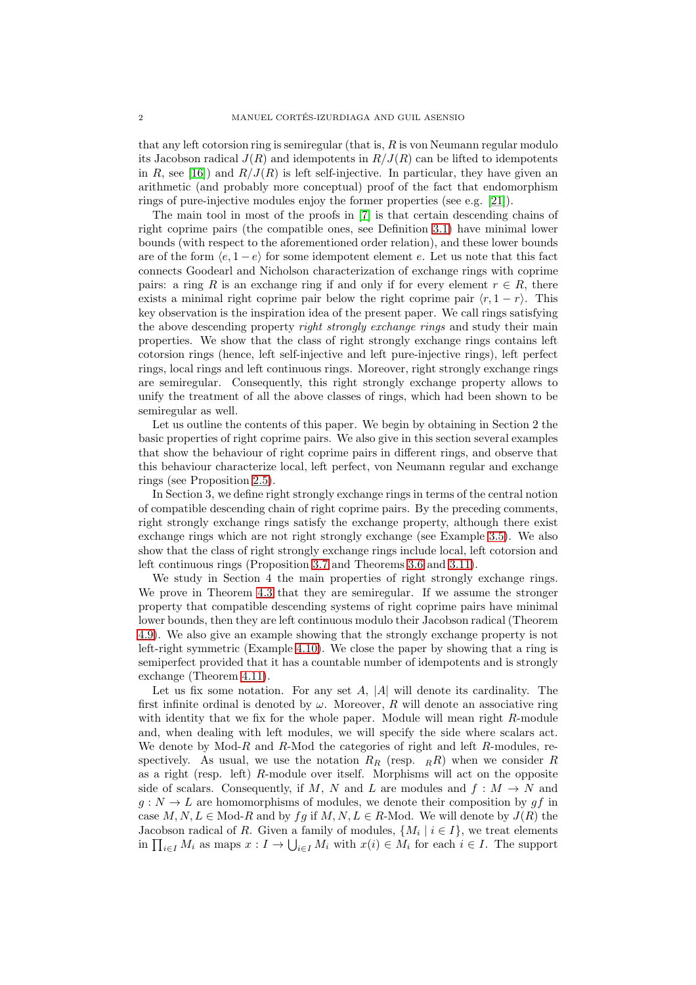that any left cotorsion ring is semiregular (that is,  $R$  is von Neumann regular modulo its Jacobson radical  $J(R)$  and idempotents in  $R/J(R)$  can be lifted to idempotents in R, see [\[16\]](#page-18-7)) and  $R/J(R)$  is left self-injective. In particular, they have given an arithmetic (and probably more conceptual) proof of the fact that endomorphism rings of pure-injective modules enjoy the former properties (see e.g. [\[21\]](#page-18-8)).

The main tool in most of the proofs in [\[7\]](#page-18-6) is that certain descending chains of right coprime pairs (the compatible ones, see Definition [3.1\)](#page-6-0) have minimal lower bounds (with respect to the aforementioned order relation), and these lower bounds are of the form  $\langle e, 1 - e \rangle$  for some idempotent element e. Let us note that this fact connects Goodearl and Nicholson characterization of exchange rings with coprime pairs: a ring R is an exchange ring if and only if for every element  $r \in R$ , there exists a minimal right coprime pair below the right coprime pair  $\langle r, 1 - r \rangle$ . This key observation is the inspiration idea of the present paper. We call rings satisfying the above descending property *right strongly exchange rings* and study their main properties. We show that the class of right strongly exchange rings contains left cotorsion rings (hence, left self-injective and left pure-injective rings), left perfect rings, local rings and left continuous rings. Moreover, right strongly exchange rings are semiregular. Consequently, this right strongly exchange property allows to unify the treatment of all the above classes of rings, which had been shown to be semiregular as well.

Let us outline the contents of this paper. We begin by obtaining in Section 2 the basic properties of right coprime pairs. We also give in this section several examples that show the behaviour of right coprime pairs in different rings, and observe that this behaviour characterize local, left perfect, von Neumann regular and exchange rings (see Proposition [2.5\)](#page-4-0).

In Section 3, we define right strongly exchange rings in terms of the central notion of compatible descending chain of right coprime pairs. By the preceding comments, right strongly exchange rings satisfy the exchange property, although there exist exchange rings which are not right strongly exchange (see Example [3.5\)](#page-7-0). We also show that the class of right strongly exchange rings include local, left cotorsion and left continuous rings (Proposition [3.7](#page-10-0) and Theorems [3.6](#page-9-0) and [3.11\)](#page-11-0).

We study in Section 4 the main properties of right strongly exchange rings. We prove in Theorem [4.3](#page-13-0) that they are semiregular. If we assume the stronger property that compatible descending systems of right coprime pairs have minimal lower bounds, then they are left continuous modulo their Jacobson radical (Theorem [4.9\)](#page-15-0). We also give an example showing that the strongly exchange property is not left-right symmetric (Example [4.10\)](#page-16-0). We close the paper by showing that a ring is semiperfect provided that it has a countable number of idempotents and is strongly exchange (Theorem [4.11\)](#page-16-1).

Let us fix some notation. For any set  $A$ ,  $|A|$  will denote its cardinality. The first infinite ordinal is denoted by  $\omega$ . Moreover, R will denote an associative ring with identity that we fix for the whole paper. Module will mean right R-module and, when dealing with left modules, we will specify the side where scalars act. We denote by  $Mod-R$  and  $R$ -Mod the categories of right and left  $R$ -modules, respectively. As usual, we use the notation  $R_R$  (resp.  $_RR$ ) when we consider R as a right (resp. left) R-module over itself. Morphisms will act on the opposite side of scalars. Consequently, if M, N and L are modules and  $f : M \to N$  and  $g: N \to L$  are homomorphisms of modules, we denote their composition by  $gf$  in case  $M, N, L \in \text{Mod-}R$  and by  $fg$  if  $M, N, L \in R$ -Mod. We will denote by  $J(R)$  the Jacobson radical of R. Given a family of modules,  $\{M_i \mid i \in I\}$ , we treat elements in  $\prod_{i\in I} M_i$  as maps  $x: I \to \bigcup_{i\in I} M_i$  with  $x(i) \in M_i$  for each  $i \in I$ . The support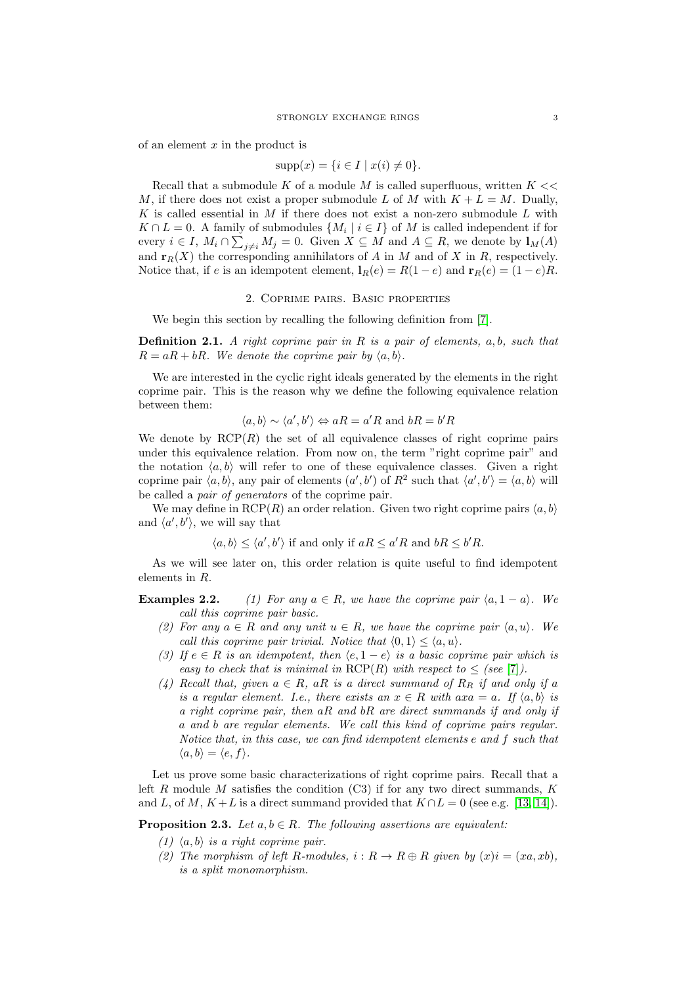of an element  $x$  in the product is

$$
supp(x) = \{i \in I \mid x(i) \neq 0\}.
$$

Recall that a submodule K of a module M is called superfluous, written  $K \ll$ M, if there does not exist a proper submodule L of M with  $K + L = M$ . Dually, K is called essential in M if there does not exist a non-zero submodule  $L$  with  $K \cap L = 0$ . A family of submodules  $\{M_i \mid i \in I\}$  of M is called independent if for every  $i \in I$ ,  $M_i \cap \sum_{j \neq i} M_j = 0$ . Given  $X \subseteq M$  and  $A \subseteq R$ , we denote by  $\mathbf{1}_M(A)$ and  $\mathbf{r}_R(X)$  the corresponding annihilators of A in M and of X in R, respectively. Notice that, if e is an idempotent element,  $\mathbf{l}_R(e) = R(1-e)$  and  $\mathbf{r}_R(e) = (1-e)R$ .

## 2. Coprime pairs. Basic properties

We begin this section by recalling the following definition from [\[7\]](#page-18-6).

**Definition 2.1.** A right coprime pair in R is a pair of elements,  $a, b$ , such that  $R = aR + bR$ . We denote the coprime pair by  $\langle a, b \rangle$ .

We are interested in the cyclic right ideals generated by the elements in the right coprime pair. This is the reason why we define the following equivalence relation between them:

$$
\langle a, b \rangle \sim \langle a', b' \rangle \Leftrightarrow aR = a'R
$$
 and  $bR = b'R$ 

We denote by  $RCP(R)$  the set of all equivalence classes of right coprime pairs under this equivalence relation. From now on, the term "right coprime pair" and the notation  $\langle a, b \rangle$  will refer to one of these equivalence classes. Given a right coprime pair  $\langle a, b \rangle$ , any pair of elements  $(a', b')$  of  $R^2$  such that  $\langle a', b' \rangle = \langle a, b \rangle$  will be called a pair of generators of the coprime pair.

We may define in  $RCP(R)$  an order relation. Given two right coprime pairs  $(a, b)$ and  $\langle a', b' \rangle$ , we will say that

 $\langle a, b \rangle \leq \langle a', b' \rangle$  if and only if  $aR \leq a'R$  and  $bR \leq b'R$ .

As we will see later on, this order relation is quite useful to find idempotent elements in R.

**Examples 2.2.** (1) For any  $a \in R$ , we have the coprime pair  $\langle a, 1 - a \rangle$ . We call this coprime pair basic.

- (2) For any  $a \in R$  and any unit  $u \in R$ , we have the coprime pair  $\langle a, u \rangle$ . We call this coprime pair trivial. Notice that  $\langle 0, 1 \rangle \leq \langle a, u \rangle$ .
- (3) If  $e \in R$  is an idempotent, then  $\langle e, 1 e \rangle$  is a basic coprime pair which is easy to check that is minimal in  $RCP(R)$  with respect to  $\leq$  (see [\[7\]](#page-18-6)).
- (4) Recall that, given  $a \in R$ , aR is a direct summand of  $R_R$  if and only if a is a regular element. I.e., there exists an  $x \in R$  with  $axa = a$ . If  $\langle a, b \rangle$  is a right coprime pair, then  $aR$  and  $bR$  are direct summands if and only if a and b are regular elements. We call this kind of coprime pairs regular. Notice that, in this case, we can find idempotent elements e and f such that  $\langle a, b \rangle = \langle e, f \rangle.$

Let us prove some basic characterizations of right coprime pairs. Recall that a left R module M satisfies the condition  $(C3)$  if for any two direct summands, K and L, of M,  $K+L$  is a direct summand provided that  $K \cap L = 0$  (see e.g. [\[13,](#page-18-9) [14\]](#page-18-10)).

<span id="page-2-0"></span>**Proposition 2.3.** Let  $a, b \in R$ . The following assertions are equivalent:

- (1)  $\langle a, b \rangle$  is a right coprime pair.
- (2) The morphism of left R-modules,  $i : R \to R \oplus R$  given by  $(x)i = (xa, xb)$ , is a split monomorphism.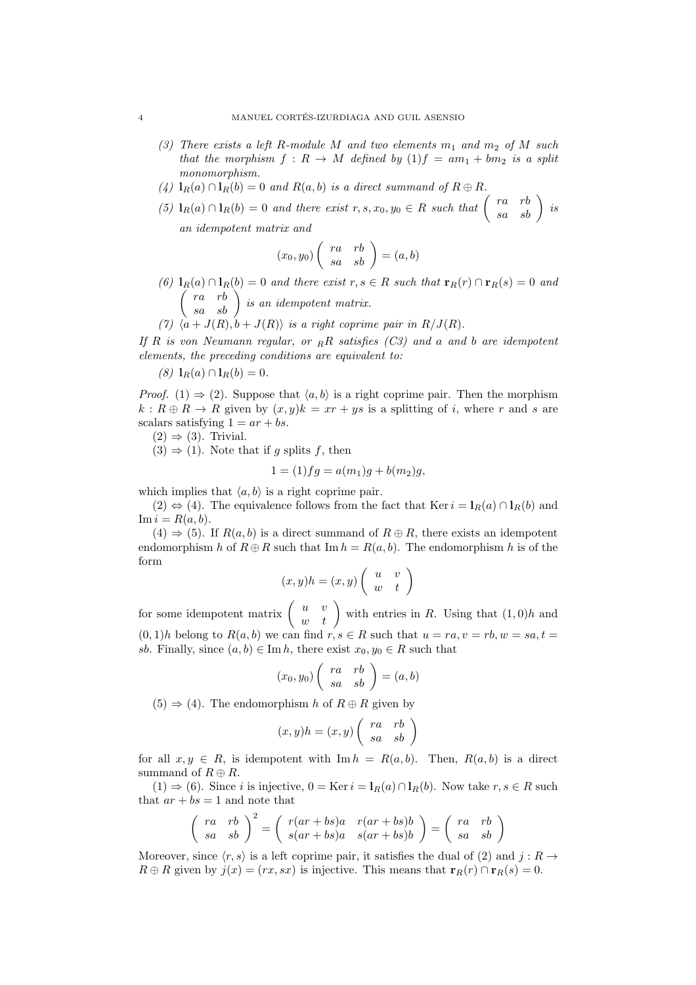- (3) There exists a left R-module M and two elements  $m_1$  and  $m_2$  of M such that the morphism  $f: R \to M$  defined by  $(1)f = am_1 + bm_2$  is a split monomorphism.
- (4)  $\mathbf{1}_R(a) \cap \mathbf{1}_R(b) = 0$  and  $R(a, b)$  is a direct summand of  $R \oplus R$ .
- (5)  $\mathbf{1}_R(a) \cap \mathbf{1}_R(b) = 0$  and there exist  $r, s, x_0, y_0 \in R$  such that  $\begin{pmatrix} ra & rb \ sa & sb \end{pmatrix}$  is an idempotent matrix and

$$
(x_0, y_0) \left( \begin{array}{cc} ra & rb \\ sa & sb \end{array} \right) = (a, b)
$$

- (6)  $\mathbf{1}_R(a) \cap \mathbf{1}_R(b) = 0$  and there exist  $r, s \in R$  such that  $\mathbf{r}_R(r) \cap \mathbf{r}_R(s) = 0$  and  $\begin{pmatrix} ra & rb \ sa & sb \end{pmatrix}$  is an idempotent matrix.
- $+ J(R), b + J(R)$  is a right coprime pair in  $R/J(R)$ .

If R is von Neumann regular, or  $_R$ R satisfies (C3) and a and b are idempotent elements, the preceding conditions are equivalent to:

 $(8)$   $\mathbf{1}_R(a) \cap \mathbf{1}_R(b) = 0.$ 

*Proof.* (1)  $\Rightarrow$  (2). Suppose that  $\langle a, b \rangle$  is a right coprime pair. Then the morphism  $k: R \oplus R \rightarrow R$  given by  $(x, y)k = xr + ys$  is a splitting of i, where r and s are scalars satisfying  $1 = ar + bs$ .

 $(2) \Rightarrow (3)$ . Trivial.

 $(3) \Rightarrow (1)$ . Note that if g splits f, then

$$
1 = (1)fg = a(m_1)g + b(m_2)g,
$$

which implies that  $\langle a, b \rangle$  is a right coprime pair.

 $(2) \Leftrightarrow (4)$ . The equivalence follows from the fact that Ker  $i = I_R(a) \cap I_R(b)$  and  $\text{Im } i = R(a, b).$ 

 $(4) \Rightarrow (5)$ . If  $R(a, b)$  is a direct summand of  $R \oplus R$ , there exists an idempotent endomorphism h of  $R \oplus R$  such that  $\text{Im } h = R(a, b)$ . The endomorphism h is of the form

$$
(x,y)h = (x,y) \left( \begin{array}{cc} u & v \\ w & t \end{array} \right)
$$

for some idempotent matrix  $\begin{pmatrix} u & v \\ w & t \end{pmatrix}$  with entries in R. Using that  $(1,0)h$  and  $(0, 1)h$  belong to  $R(a, b)$  we can find  $r, s \in R$  such that  $u = ra, v = rb, w = sa, t =$ sb. Finally, since  $(a, b) \in \text{Im } h$ , there exist  $x_0, y_0 \in R$  such that

$$
(x_0, y_0) \left( \begin{array}{cc} ra & rb \\ sa & sb \end{array} \right) = (a, b)
$$

 $(5) \Rightarrow (4)$ . The endomorphism h of  $R \oplus R$  given by

$$
(x,y)h = (x,y)\left(\begin{array}{cc} ra & rb \\ sa & sb \end{array}\right)
$$

for all  $x, y \in R$ , is idempotent with Im  $h = R(a, b)$ . Then,  $R(a, b)$  is a direct summand of  $R \oplus R$ .

 $(1) \Rightarrow (6)$ . Since *i* is injective,  $0 = \text{Ker } i = l_R(a) \cap l_R(b)$ . Now take  $r, s \in R$  such that  $ar + bs = 1$  and note that

$$
\begin{pmatrix} ra & rb \\ sa & sb \end{pmatrix}^2 = \begin{pmatrix} r(ar+bs)a & r(ar+bs)b \\ s(ar+bs)a & s(ar+bs)b \end{pmatrix} = \begin{pmatrix} ra & rb \\ sa & sb \end{pmatrix}
$$

Moreover, since  $\langle r, s \rangle$  is a left coprime pair, it satisfies the dual of (2) and j : R  $\rightarrow$  $R \oplus R$  given by  $j(x) = (rx, sx)$  is injective. This means that  $\mathbf{r}_R(r) \cap \mathbf{r}_R(s) = 0$ .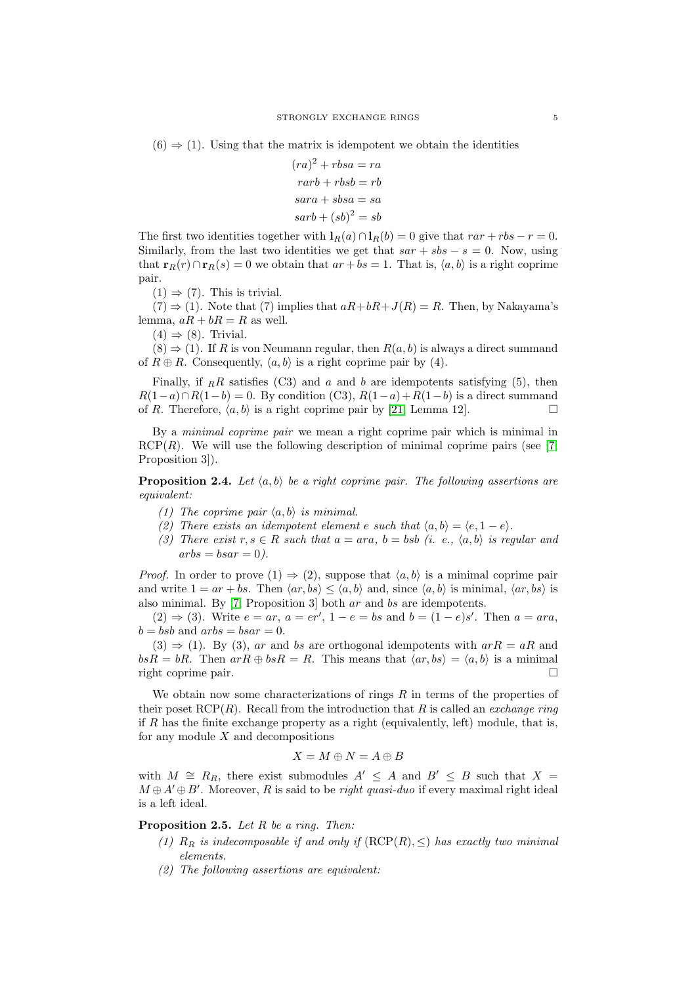$$
(ra)2 + rbsa = ra
$$
  
\n
$$
rarb + rbsb = rb
$$
  
\n
$$
sara + sbsa = sa
$$
  
\n
$$
sarb + (sb)2 = sb
$$

The first two identities together with  $l_R(a) \cap l_R(b) = 0$  give that  $rar + rbs - r = 0$ . Similarly, from the last two identities we get that  $sar + sbs - s = 0$ . Now, using that  $\mathbf{r}_R(r) \cap \mathbf{r}_R(s) = 0$  we obtain that  $ar + bs = 1$ . That is,  $\langle a, b \rangle$  is a right coprime pair.

 $(1) \Rightarrow (7)$ . This is trivial.

 $(7) \Rightarrow (1)$ . Note that  $(7)$  implies that  $aR+bR+J(R)=R$ . Then, by Nakayama's lemma,  $aR + bR = R$  as well.

 $(4) \Rightarrow (8)$ . Trivial.

 $(8) \Rightarrow (1)$ . If R is von Neumann regular, then  $R(a, b)$  is always a direct summand of  $R \oplus R$ . Consequently,  $\langle a, b \rangle$  is a right coprime pair by (4).

Finally, if  $_R R$  satisfies (C3) and a and b are idempotents satisfying (5), then  $R(1-a)\cap R(1-b) = 0$ . By condition (C3),  $R(1-a)+R(1-b)$  is a direct summand of R. Therefore,  $\langle a, b \rangle$  is a right coprime pair by [\[21,](#page-18-8) Lemma 12].

By a minimal coprime pair we mean a right coprime pair which is minimal in  $RCP(R)$ . We will use the following description of minimal coprime pairs (see [\[7,](#page-18-6) Proposition 3.

<span id="page-4-1"></span>**Proposition 2.4.** Let  $\langle a, b \rangle$  be a right coprime pair. The following assertions are equivalent:

- (1) The coprime pair  $\langle a, b \rangle$  is minimal.
- (2) There exists an idempotent element e such that  $\langle a, b \rangle = \langle e, 1 e \rangle$ .
- (3) There exist  $r, s \in R$  such that  $a = ara, b = bsb$  (i. e.,  $\langle a, b \rangle$  is regular and  $arbs = basar = 0$ .

*Proof.* In order to prove  $(1) \Rightarrow (2)$ , suppose that  $\langle a, b \rangle$  is a minimal coprime pair and write  $1 = ar + bs$ . Then  $\langle ar, bs \rangle \le \langle a, b \rangle$  and, since  $\langle a, b \rangle$  is minimal,  $\langle ar, bs \rangle$  is also minimal. By [\[7,](#page-18-6) Proposition 3] both ar and bs are idempotents.

 $(2) \Rightarrow (3)$ . Write  $e = ar$ ,  $a = er'$ ,  $1 - e = bs$  and  $b = (1 - e)s'$ . Then  $a = ara$ ,  $b = bsb$  and  $arbs = basar = 0$ .

 $(3) \Rightarrow (1)$ . By  $(3)$ , ar and bs are orthogonal idempotents with  $arR = aR$  and  $bsR = bR$ . Then  $arR \oplus bsR = R$ . This means that  $\langle ar, bs \rangle = \langle a, b \rangle$  is a minimal right coprime pair.

We obtain now some characterizations of rings  $R$  in terms of the properties of their poset RCP(R). Recall from the introduction that R is called an *exchange ring* if  $R$  has the finite exchange property as a right (equivalently, left) module, that is, for any module  $X$  and decompositions

$$
X = M \oplus N = A \oplus B
$$

with  $M \cong R_R$ , there exist submodules  $A' \leq A$  and  $B' \leq B$  such that  $X =$  $M \oplus A' \oplus B'$ . Moreover, R is said to be *right quasi-duo* if every maximal right ideal is a left ideal.

<span id="page-4-0"></span>**Proposition 2.5.** Let  $R$  be a ring. Then:

- (1)  $R_R$  is indecomposable if and only if  $(RCP(R), \leq)$  has exactly two minimal elements.
- (2) The following assertions are equivalent: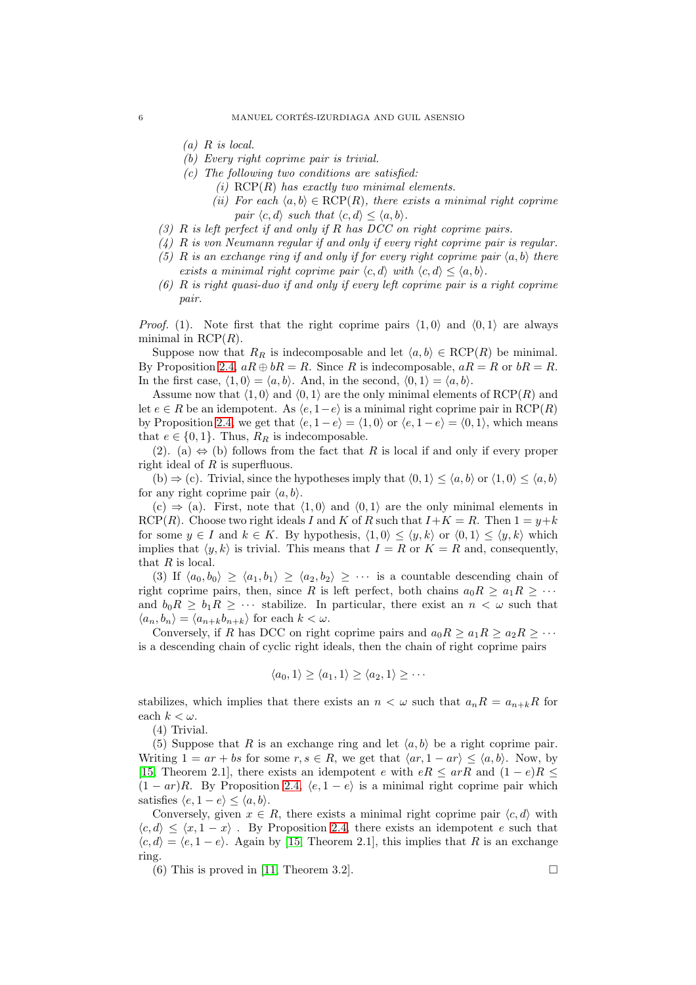- $(a)$  R is local.
- (b) Every right coprime pair is trivial.
- $(c)$  The following two conditions are satisfied:
	- (i)  $RCP(R)$  has exactly two minimal elements.
	- (ii) For each  $\langle a, b \rangle \in \text{RCP}(R)$ , there exists a minimal right coprime pair  $\langle c, d \rangle$  such that  $\langle c, d \rangle < \langle a, b \rangle$ .
- (3) R is left perfect if and only if R has DCC on right coprime pairs.
- (4) R is von Neumann regular if and only if every right coprime pair is regular.
- (5) R is an exchange ring if and only if for every right coprime pair  $\langle a, b \rangle$  there exists a minimal right coprime pair  $\langle c, d \rangle$  with  $\langle c, d \rangle \le \langle a, b \rangle$ .
- (6) R is right quasi-duo if and only if every left coprime pair is a right coprime pair.

*Proof.* (1). Note first that the right coprime pairs  $\langle 1, 0 \rangle$  and  $\langle 0, 1 \rangle$  are always minimal in  $RCP(R)$ .

Suppose now that  $R_R$  is indecomposable and let  $\langle a, b \rangle \in RCP(R)$  be minimal. By Proposition [2.4,](#page-4-1)  $aR \oplus bR = R$ . Since R is indecomposable,  $aR = R$  or  $bR = R$ . In the first case,  $\langle 1, 0 \rangle = \langle a, b \rangle$ . And, in the second,  $\langle 0, 1 \rangle = \langle a, b \rangle$ .

Assume now that  $\langle 1, 0 \rangle$  and  $\langle 0, 1 \rangle$  are the only minimal elements of RCP(R) and let  $e \in R$  be an idempotent. As  $\langle e, 1-e \rangle$  is a minimal right coprime pair in RCP(R) by Proposition [2.4,](#page-4-1) we get that  $\langle e, 1 - e \rangle = \langle 1, 0 \rangle$  or  $\langle e, 1 - e \rangle = \langle 0, 1 \rangle$ , which means that  $e \in \{0, 1\}$ . Thus,  $R_R$  is indecomposable.

(2). (a)  $\Leftrightarrow$  (b) follows from the fact that R is local if and only if every proper right ideal of  $R$  is superfluous.

(b)  $\Rightarrow$  (c). Trivial, since the hypotheses imply that  $\langle 0, 1 \rangle \le \langle a, b \rangle$  or  $\langle 1, 0 \rangle \le \langle a, b \rangle$ for any right coprime pair  $\langle a, b \rangle$ .

 $(c) \Rightarrow (a)$ . First, note that  $\langle 1, 0 \rangle$  and  $\langle 0, 1 \rangle$  are the only minimal elements in RCP(R). Choose two right ideals I and K of R such that  $I+K = R$ . Then  $1 = y+k$ for some  $y \in I$  and  $k \in K$ . By hypothesis,  $\langle 1, 0 \rangle \leq \langle y, k \rangle$  or  $\langle 0, 1 \rangle \leq \langle y, k \rangle$  which implies that  $\langle y, k \rangle$  is trivial. This means that  $I = R$  or  $K = R$  and, consequently, that  $R$  is local.

(3) If  $\langle a_0, b_0 \rangle \ge \langle a_1, b_1 \rangle \ge \langle a_2, b_2 \rangle \ge \cdots$  is a countable descending chain of right coprime pairs, then, since R is left perfect, both chains  $a_0R \ge a_1R \ge \cdots$ and  $b_0R \geq b_1R \geq \cdots$  stabilize. In particular, there exist an  $n < \omega$  such that  $\langle a_n, b_n \rangle = \langle a_{n+k}b_{n+k} \rangle$  for each  $k < \omega$ .

Conversely, if R has DCC on right coprime pairs and  $a_0R \ge a_1R \ge a_2R \ge \cdots$ is a descending chain of cyclic right ideals, then the chain of right coprime pairs

$$
\langle a_0, 1 \rangle \ge \langle a_1, 1 \rangle \ge \langle a_2, 1 \rangle \ge \cdots
$$

stabilizes, which implies that there exists an  $n < \omega$  such that  $a_n R = a_{n+k} R$  for each  $k < \omega$ .

(4) Trivial.

(5) Suppose that R is an exchange ring and let  $\langle a, b \rangle$  be a right coprime pair. Writing  $1 = ar + bs$  for some  $r, s \in R$ , we get that  $\langle ar, 1 - ar \rangle \leq \langle a, b \rangle$ . Now, by [\[15,](#page-18-3) Theorem 2.1], there exists an idempotent e with  $eR \leq arR$  and  $(1-e)R \leq$  $(1 - ar)R$ . By Proposition [2.4,](#page-4-1)  $\langle e, 1 - e \rangle$  is a minimal right coprime pair which satisfies  $\langle e, 1 - e \rangle \le \langle a, b \rangle$ .

Conversely, given  $x \in R$ , there exists a minimal right coprime pair  $\langle c, d \rangle$  with  $\langle c, d \rangle \leq \langle x, 1-x \rangle$ . By Proposition [2.4,](#page-4-1) there exists an idempotent e such that  $\langle c, d \rangle = \langle e, 1 - e \rangle$ . Again by [\[15,](#page-18-3) Theorem 2.1], this implies that R is an exchange ring.

(6) This is proved in [\[11,](#page-18-11) Theorem 3.2].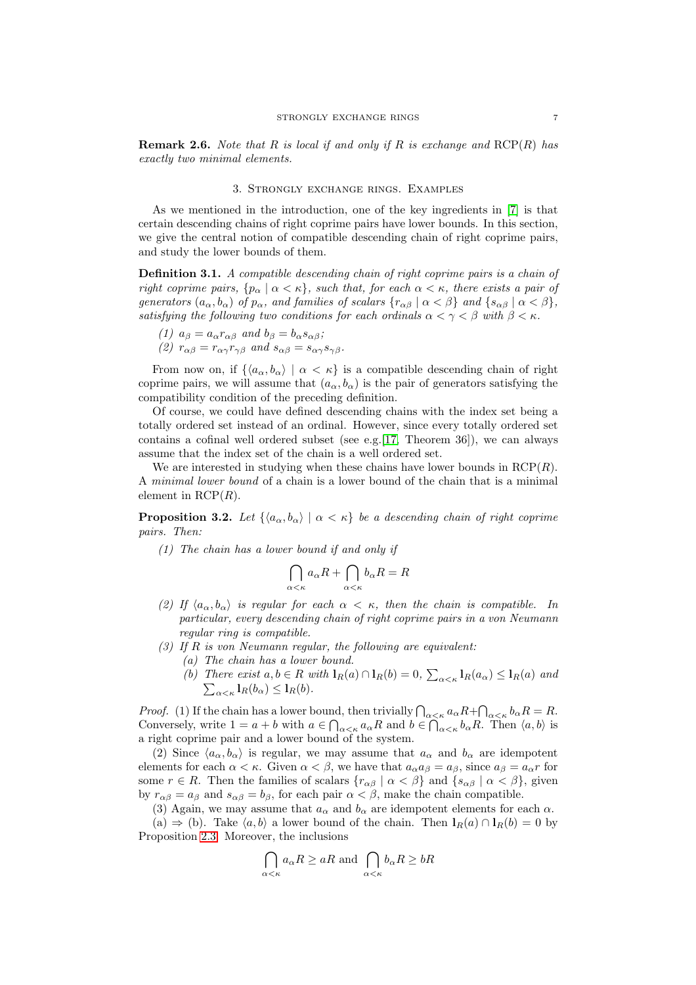**Remark 2.6.** Note that R is local if and only if R is exchange and  $RCP(R)$  has exactly two minimal elements.

#### 3. Strongly exchange rings. Examples

As we mentioned in the introduction, one of the key ingredients in [\[7\]](#page-18-6) is that certain descending chains of right coprime pairs have lower bounds. In this section, we give the central notion of compatible descending chain of right coprime pairs, and study the lower bounds of them.

<span id="page-6-0"></span>Definition 3.1. A compatible descending chain of right coprime pairs is a chain of right coprime pairs,  $\{p_\alpha \mid \alpha < \kappa\}$ , such that, for each  $\alpha < \kappa$ , there exists a pair of generators  $(a_{\alpha}, b_{\alpha})$  of  $p_{\alpha}$ , and families of scalars  $\{r_{\alpha\beta} \mid \alpha < \beta\}$  and  $\{s_{\alpha\beta} \mid \alpha < \beta\}$ , satisfying the following two conditions for each ordinals  $\alpha < \gamma < \beta$  with  $\beta < \kappa$ .

(1) 
$$
a_{\beta} = a_{\alpha} r_{\alpha\beta}
$$
 and  $b_{\beta} = b_{\alpha} s_{\alpha\beta}$ ;

(2)  $r_{\alpha\beta} = r_{\alpha\gamma}r_{\gamma\beta}$  and  $s_{\alpha\beta} = s_{\alpha\gamma}s_{\gamma\beta}$ .

From now on, if  $\{\langle a_{\alpha}, b_{\alpha}\rangle \mid \alpha < \kappa\}$  is a compatible descending chain of right coprime pairs, we will assume that  $(a_{\alpha}, b_{\alpha})$  is the pair of generators satisfying the compatibility condition of the preceding definition.

Of course, we could have defined descending chains with the index set being a totally ordered set instead of an ordinal. However, since every totally ordered set contains a cofinal well ordered subset (see e.g.  $[17,$  Theorem 36]), we can always assume that the index set of the chain is a well ordered set.

We are interested in studying when these chains have lower bounds in  $RCP(R)$ . A minimal lower bound of a chain is a lower bound of the chain that is a minimal element in  $RCP(R)$ .

<span id="page-6-1"></span>**Proposition 3.2.** Let  $\{\langle a_{\alpha}, b_{\alpha}\rangle \mid \alpha < \kappa\}$  be a descending chain of right coprime pairs. Then:

(1) The chain has a lower bound if and only if

$$
\bigcap_{\alpha < \kappa} a_{\alpha}R + \bigcap_{\alpha < \kappa} b_{\alpha}R = R
$$

- (2) If  $\langle a_{\alpha}, b_{\alpha} \rangle$  is regular for each  $\alpha < \kappa$ , then the chain is compatible. In particular, every descending chain of right coprime pairs in a von Neumann regular ring is compatible.
- (3) If  $R$  is von Neumann regular, the following are equivalent:
	- (a) The chain has a lower bound.
	- (b) There exist  $a, b \in R$  with  $\mathbf{l}_R(a) \cap \mathbf{l}_R(b) = 0$ ,  $\sum_{\alpha < \kappa} \mathbf{l}_R(a_\alpha) \leq \mathbf{l}_R(a)$  and  $\sum_{\alpha<\kappa} \mathbf{1}_{R}(b_{\alpha}) \leq \mathbf{1}_{R}(b).$

*Proof.* (1) If the chain has a lower bound, then trivially  $\bigcap_{\alpha<\kappa} a_{\alpha}R+\bigcap_{\alpha<\kappa} b_{\alpha}R=R$ . Conversely, write  $1 = a + b$  with  $a \in \bigcap_{\alpha < \kappa} a_{\alpha} R$  and  $b \in \bigcap_{\alpha < \kappa} b_{\alpha} R$ . Then  $\langle a, b \rangle$  is a right coprime pair and a lower bound of the system.

(2) Since  $\langle a_{\alpha}, b_{\alpha} \rangle$  is regular, we may assume that  $a_{\alpha}$  and  $b_{\alpha}$  are idempotent elements for each  $\alpha < \kappa$ . Given  $\alpha < \beta$ , we have that  $a_{\alpha}a_{\beta} = a_{\beta}$ , since  $a_{\beta} = a_{\alpha}r$  for some  $r \in R$ . Then the families of scalars  $\{r_{\alpha\beta} \mid \alpha < \beta\}$  and  $\{s_{\alpha\beta} \mid \alpha < \beta\}$ , given by  $r_{\alpha\beta} = a_{\beta}$  and  $s_{\alpha\beta} = b_{\beta}$ , for each pair  $\alpha < \beta$ , make the chain compatible.

(3) Again, we may assume that  $a_{\alpha}$  and  $b_{\alpha}$  are idempotent elements for each  $\alpha$ .

(a)  $\Rightarrow$  (b). Take  $\langle a, b \rangle$  a lower bound of the chain. Then  $\mathbf{l}_R(a) \cap \mathbf{l}_R(b) = 0$  by Proposition [2.3.](#page-2-0) Moreover, the inclusions

$$
\bigcap_{\alpha < \kappa} a_{\alpha} R \ge aR \text{ and } \bigcap_{\alpha < \kappa} b_{\alpha} R \ge bR
$$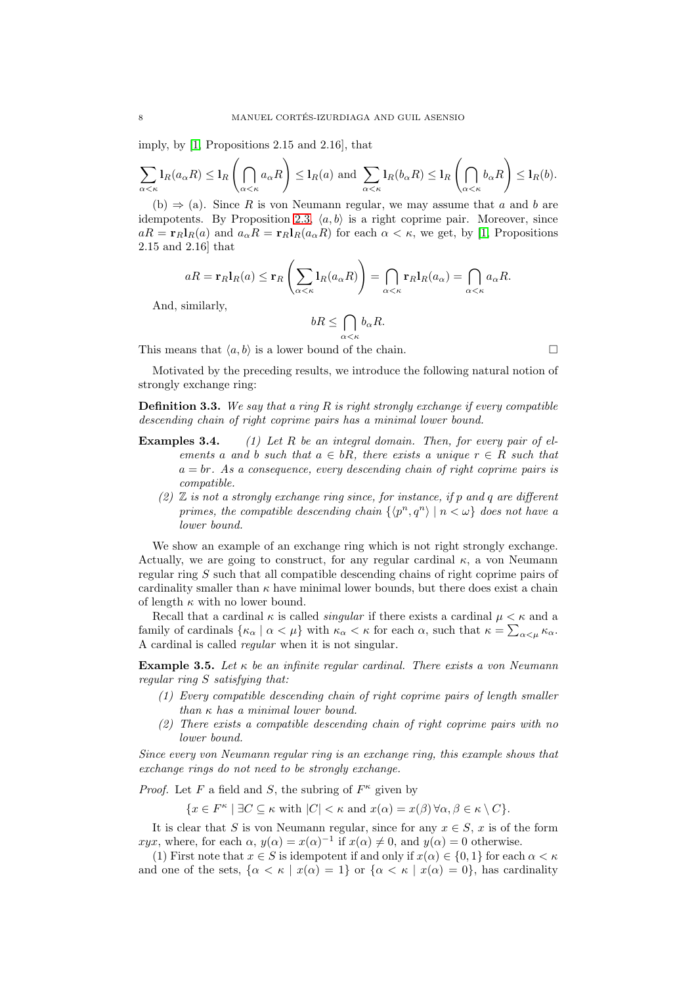imply, by [\[1,](#page-18-13) Propositions 2.15 and 2.16], that

$$
\sum_{\alpha < \kappa} \mathbf{1}_R(a_\alpha R) \le \mathbf{1}_R\left(\bigcap_{\alpha < \kappa} a_\alpha R\right) \le \mathbf{1}_R(a) \text{ and } \sum_{\alpha < \kappa} \mathbf{1}_R(b_\alpha R) \le \mathbf{1}_R\left(\bigcap_{\alpha < \kappa} b_\alpha R\right) \le \mathbf{1}_R(b).
$$

(b)  $\Rightarrow$  (a). Since R is von Neumann regular, we may assume that a and b are idempotents. By Proposition [2.3,](#page-2-0)  $\langle a, b \rangle$  is a right coprime pair. Moreover, since  $aR = \mathbf{r}_R \mathbf{l}_R(a)$  and  $a_\alpha R = \mathbf{r}_R \mathbf{l}_R(a_\alpha R)$  for each  $\alpha < \kappa$ , we get, by [\[1,](#page-18-13) Propositions 2.15 and 2.16] that

$$
aR = \mathbf{r}_R \mathbf{l}_R(a) \le \mathbf{r}_R \left( \sum_{\alpha < \kappa} \mathbf{l}_R(a_\alpha R) \right) = \bigcap_{\alpha < \kappa} \mathbf{r}_R \mathbf{l}_R(a_\alpha) = \bigcap_{\alpha < \kappa} a_\alpha R.
$$

And, similarly,

$$
bR \le \bigcap_{\alpha < \kappa} b_{\alpha}R.
$$

This means that  $\langle a, b \rangle$  is a lower bound of the chain.

Motivated by the preceding results, we introduce the following natural notion of strongly exchange ring:

**Definition 3.3.** We say that a ring  $R$  is right strongly exchange if every compatible descending chain of right coprime pairs has a minimal lower bound.

- **Examples 3.4.** (1) Let R be an integral domain. Then, for every pair of elements a and b such that  $a \in bR$ , there exists a unique  $r \in R$  such that  $a = br$ . As a consequence, every descending chain of right coprime pairs is compatible.
	- (2)  $\mathbb Z$  is not a strongly exchange ring since, for instance, if p and q are different primes, the compatible descending chain  $\{ \langle p^n, q^n \rangle | n < \omega \}$  does not have a lower bound.

We show an example of an exchange ring which is not right strongly exchange. Actually, we are going to construct, for any regular cardinal  $\kappa$ , a von Neumann regular ring S such that all compatible descending chains of right coprime pairs of cardinality smaller than  $\kappa$  have minimal lower bounds, but there does exist a chain of length  $\kappa$  with no lower bound.

Recall that a cardinal  $\kappa$  is called *singular* if there exists a cardinal  $\mu < \kappa$  and a family of cardinals  $\{\kappa_\alpha \mid \alpha < \mu\}$  with  $\kappa_\alpha < \kappa$  for each  $\alpha$ , such that  $\kappa = \sum_{\alpha < \mu} \kappa_\alpha$ . A cardinal is called regular when it is not singular.

<span id="page-7-0"></span>**Example 3.5.** Let  $\kappa$  be an infinite regular cardinal. There exists a von Neumann regular ring S satisfying that:

- (1) Every compatible descending chain of right coprime pairs of length smaller than  $\kappa$  has a minimal lower bound.
- (2) There exists a compatible descending chain of right coprime pairs with no lower bound.

Since every von Neumann regular ring is an exchange ring, this example shows that exchange rings do not need to be strongly exchange.

*Proof.* Let F a field and S, the subring of  $F^{\kappa}$  given by

 $\{x \in F^{\kappa} \mid \exists C \subseteq \kappa \text{ with } |C| < \kappa \text{ and } x(\alpha) = x(\beta) \,\forall \alpha, \beta \in \kappa \setminus C\}.$ 

It is clear that S is von Neumann regular, since for any  $x \in S$ , x is of the form xyx, where, for each  $\alpha$ ,  $y(\alpha) = x(\alpha)^{-1}$  if  $x(\alpha) \neq 0$ , and  $y(\alpha) = 0$  otherwise.

(1) First note that  $x \in S$  is idempotent if and only if  $x(\alpha) \in \{0,1\}$  for each  $\alpha < \kappa$ and one of the sets,  $\{\alpha < \kappa \mid x(\alpha) = 1\}$  or  $\{\alpha < \kappa \mid x(\alpha) = 0\}$ , has cardinality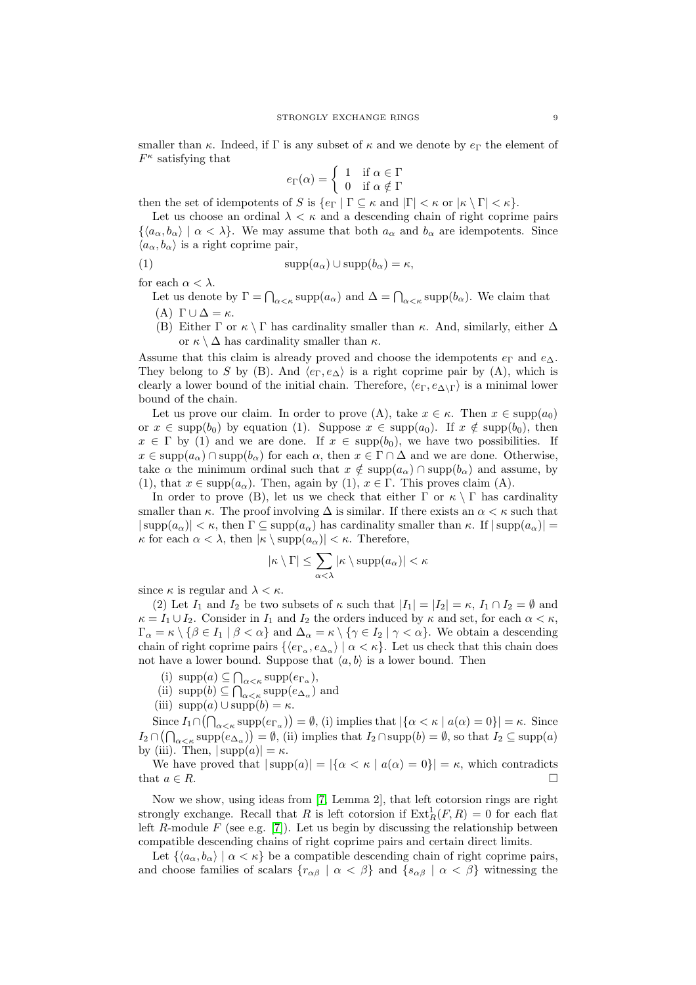smaller than  $\kappa$ . Indeed, if Γ is any subset of  $\kappa$  and we denote by  $e_{\Gamma}$  the element of  $F^{\kappa}$  satisfying that

$$
e_{\Gamma}(\alpha) = \begin{cases} 1 & \text{if } \alpha \in \Gamma \\ 0 & \text{if } \alpha \notin \Gamma \end{cases}
$$

then the set of idempotents of S is  $\{e_{\Gamma} | \Gamma \subseteq \kappa \text{ and } |\Gamma| < \kappa \text{ or } |\kappa \setminus \Gamma| < \kappa \}.$ 

Let us choose an ordinal  $\lambda \leq \kappa$  and a descending chain of right coprime pairs  $\{\langle a_{\alpha}, b_{\alpha}\rangle \mid \alpha < \lambda\}.$  We may assume that both  $a_{\alpha}$  and  $b_{\alpha}$  are idempotents. Since  $\langle a_{\alpha}, b_{\alpha} \rangle$  is a right coprime pair,

$$
(1)
$$

(1) 
$$
\text{supp}(a_{\alpha}) \cup \text{supp}(b_{\alpha}) = \kappa,
$$

for each  $\alpha < \lambda$ .

Let us denote by  $\Gamma = \bigcap_{\alpha < \kappa} \text{supp}(a_{\alpha})$  and  $\Delta = \bigcap_{\alpha < \kappa} \text{supp}(b_{\alpha})$ . We claim that (A)  $\Gamma \cup \Delta = \kappa$ .

(B) Either  $\Gamma$  or  $\kappa \setminus \Gamma$  has cardinality smaller than  $\kappa$ . And, similarly, either  $\Delta$ or  $\kappa \setminus \Delta$  has cardinality smaller than  $\kappa$ .

Assume that this claim is already proved and choose the idempotents  $e_{\Gamma}$  and  $e_{\Delta}$ . They belong to S by (B). And  $\langle e_{\Gamma}, e_{\Delta} \rangle$  is a right coprime pair by (A), which is clearly a lower bound of the initial chain. Therefore,  $\langle e_{\Gamma}, e_{\Delta \setminus \Gamma} \rangle$  is a minimal lower bound of the chain.

Let us prove our claim. In order to prove (A), take  $x \in \kappa$ . Then  $x \in \text{supp}(a_0)$ or  $x \in \text{supp}(b_0)$  by equation (1). Suppose  $x \in \text{supp}(a_0)$ . If  $x \notin \text{supp}(b_0)$ , then  $x \in \Gamma$  by (1) and we are done. If  $x \in \text{supp}(b_0)$ , we have two possibilities. If  $x \in \text{supp}(a_{\alpha}) \cap \text{supp}(b_{\alpha})$  for each  $\alpha$ , then  $x \in \Gamma \cap \Delta$  and we are done. Otherwise, take  $\alpha$  the minimum ordinal such that  $x \notin \text{supp}(a_{\alpha}) \cap \text{supp}(b_{\alpha})$  and assume, by (1), that  $x \in \text{supp}(a_{\alpha})$ . Then, again by (1),  $x \in \Gamma$ . This proves claim (A).

In order to prove (B), let us we check that either  $\Gamma$  or  $\kappa \setminus \Gamma$  has cardinality smaller than  $\kappa$ . The proof involving  $\Delta$  is similar. If there exists an  $\alpha < \kappa$  such that  $|\supp(a_{\alpha})| < \kappa$ , then  $\Gamma \subseteq \supp(a_{\alpha})$  has cardinality smaller than  $\kappa$ . If  $|\supp(a_{\alpha})|$  =  $\kappa$  for each  $\alpha < \lambda$ , then  $|\kappa \setminus \text{supp}(a_{\alpha})| < \kappa$ . Therefore,

$$
|\kappa \setminus \Gamma| \le \sum_{\alpha < \lambda} |\kappa \setminus \mathrm{supp}(a_{\alpha})| < \kappa
$$

since  $\kappa$  is regular and  $\lambda < \kappa$ .

(2) Let  $I_1$  and  $I_2$  be two subsets of  $\kappa$  such that  $|I_1| = |I_2| = \kappa$ ,  $I_1 \cap I_2 = \emptyset$  and  $\kappa = I_1 \cup I_2$ . Consider in  $I_1$  and  $I_2$  the orders induced by  $\kappa$  and set, for each  $\alpha < \kappa$ ,  $\Gamma_{\alpha} = \kappa \setminus {\beta \in I_1 \mid \beta < \alpha}$  and  $\Delta_{\alpha} = \kappa \setminus {\gamma \in I_2 \mid \gamma < \alpha}$ . We obtain a descending chain of right coprime pairs  $\{\langle e_{\Gamma_\alpha}, e_{\Delta_\alpha}\rangle \mid \alpha \langle \kappa \rangle\}$ . Let us check that this chain does not have a lower bound. Suppose that  $\langle a, b \rangle$  is a lower bound. Then

- (i)  $\text{supp}(a) \subseteq \bigcap_{\alpha < \kappa} \text{supp}(e_{\Gamma_{\alpha}}),$
- (ii) supp $(b) \subseteq \bigcap_{\alpha < \kappa} \text{supp}(e_{\Delta_{\alpha}})$  and
- (iii)  $\text{supp}(a) \cup \text{supp}(b) = \kappa$ .

Since  $I_1 \cap (\bigcap_{\alpha < \kappa} \text{supp}(e_{\Gamma_\alpha}) ) = \emptyset$ , (i) implies that  $|\{\alpha < \kappa \mid a(\alpha) = 0\}| = \kappa$ . Since  $I_2 \cap (\bigcap_{\alpha < \kappa} \text{supp}(e_{\Delta_\alpha})) = \emptyset$ , (ii) implies that  $I_2 \cap \text{supp}(b) = \emptyset$ , so that  $I_2 \subseteq \text{supp}(a)$ by (iii). Then,  $|\text{supp}(a)| = \kappa$ .

We have proved that  $|\text{supp}(a)| = |\{\alpha < \kappa \mid a(\alpha) = 0\}| = \kappa$ , which contradicts that  $a \in R$ .

Now we show, using ideas from [\[7,](#page-18-6) Lemma 2], that left cotorsion rings are right strongly exchange. Recall that R is left cotorsion if  $\text{Ext}^1_R(F, R) = 0$  for each flat left  $R$ -module  $F$  (see e.g. [\[7\]](#page-18-6)). Let us begin by discussing the relationship between compatible descending chains of right coprime pairs and certain direct limits.

Let  $\{\langle a_{\alpha}, b_{\alpha}\rangle | \alpha < \kappa\}$  be a compatible descending chain of right coprime pairs, and choose families of scalars  $\{r_{\alpha\beta} \mid \alpha < \beta\}$  and  $\{s_{\alpha\beta} \mid \alpha < \beta\}$  witnessing the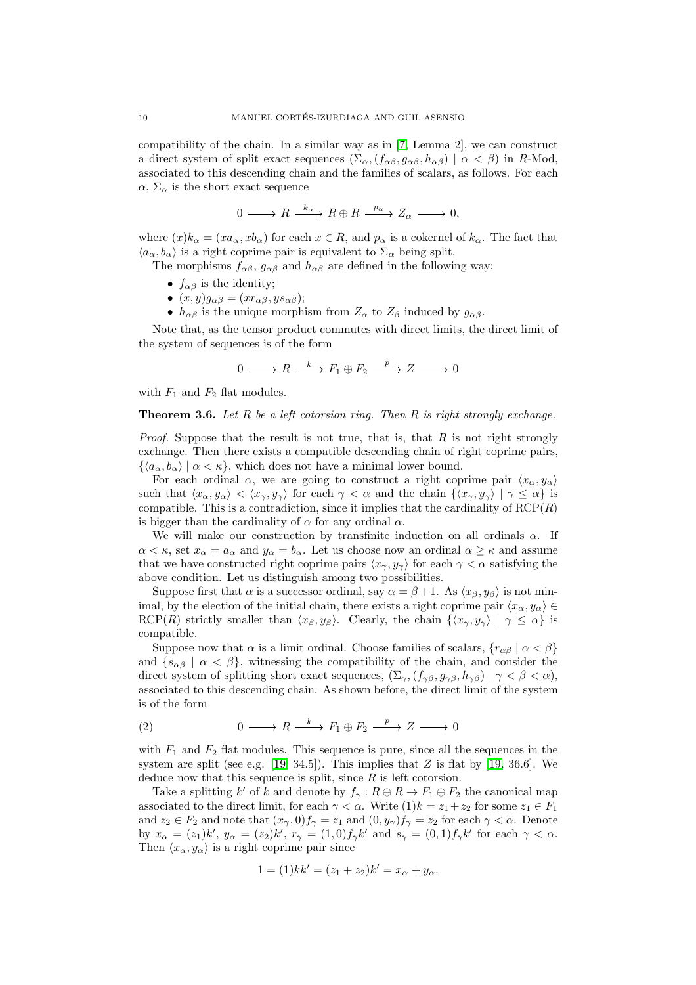compatibility of the chain. In a similar way as in [\[7,](#page-18-6) Lemma 2], we can construct a direct system of split exact sequences  $(\Sigma_{\alpha},(f_{\alpha\beta},g_{\alpha\beta},h_{\alpha\beta}) \mid \alpha < \beta)$  in R-Mod, associated to this descending chain and the families of scalars, as follows. For each  $\alpha$ ,  $\Sigma_{\alpha}$  is the short exact sequence

$$
0 \longrightarrow R \xrightarrow{k_{\alpha}} R \oplus R \xrightarrow{p_{\alpha}} Z_{\alpha} \longrightarrow 0,
$$

where  $(x)k_{\alpha} = (xa_{\alpha}, xb_{\alpha})$  for each  $x \in R$ , and  $p_{\alpha}$  is a cokernel of  $k_{\alpha}$ . The fact that  $\langle a_{\alpha}, b_{\alpha} \rangle$  is a right coprime pair is equivalent to  $\Sigma_{\alpha}$  being split.

The morphisms  $f_{\alpha\beta}$ ,  $g_{\alpha\beta}$  and  $h_{\alpha\beta}$  are defined in the following way:

- $f_{\alpha\beta}$  is the identity;
- $(x, y)g_{\alpha\beta} = (x r_{\alpha\beta}, y s_{\alpha\beta});$
- $h_{\alpha\beta}$  is the unique morphism from  $Z_{\alpha}$  to  $Z_{\beta}$  induced by  $g_{\alpha\beta}$ .

Note that, as the tensor product commutes with direct limits, the direct limit of the system of sequences is of the form

$$
0 \longrightarrow R \xrightarrow{k} F_1 \oplus F_2 \xrightarrow{p} Z \longrightarrow 0
$$

with  $F_1$  and  $F_2$  flat modules.

# <span id="page-9-0"></span>**Theorem 3.6.** Let R be a left cotorsion ring. Then R is right strongly exchange.

*Proof.* Suppose that the result is not true, that is, that  $R$  is not right strongly exchange. Then there exists a compatible descending chain of right coprime pairs,  $\{\langle a_{\alpha}, b_{\alpha}\rangle | \alpha < \kappa\},\$  which does not have a minimal lower bound.

For each ordinal  $\alpha$ , we are going to construct a right coprime pair  $\langle x_{\alpha}, y_{\alpha} \rangle$ such that  $\langle x_\alpha, y_\alpha \rangle < \langle x_\gamma, y_\gamma \rangle$  for each  $\gamma < \alpha$  and the chain  $\{\langle x_\gamma, y_\gamma \rangle \mid \gamma \leq \alpha\}$  is compatible. This is a contradiction, since it implies that the cardinality of  $RCP(R)$ is bigger than the cardinality of  $\alpha$  for any ordinal  $\alpha$ .

We will make our construction by transfinite induction on all ordinals  $\alpha$ . If  $\alpha < \kappa$ , set  $x_{\alpha} = a_{\alpha}$  and  $y_{\alpha} = b_{\alpha}$ . Let us choose now an ordinal  $\alpha \geq \kappa$  and assume that we have constructed right coprime pairs  $\langle x_{\gamma}, y_{\gamma} \rangle$  for each  $\gamma < \alpha$  satisfying the above condition. Let us distinguish among two possibilities.

Suppose first that  $\alpha$  is a successor ordinal, say  $\alpha = \beta + 1$ . As  $\langle x_{\beta}, y_{\beta} \rangle$  is not minimal, by the election of the initial chain, there exists a right coprime pair  $\langle x_\alpha, y_\alpha \rangle \in$ RCP(R) strictly smaller than  $\langle x_\beta, y_\beta \rangle$ . Clearly, the chain  $\{\langle x_\gamma, y_\gamma \rangle \mid \gamma \leq \alpha\}$  is compatible.

Suppose now that  $\alpha$  is a limit ordinal. Choose families of scalars,  ${r_{\alpha\beta} \mid \alpha < \beta}$ and  $\{s_{\alpha\beta} \mid \alpha < \beta\}$ , witnessing the compatibility of the chain, and consider the direct system of splitting short exact sequences,  $(\Sigma_{\gamma}, (f_{\gamma\beta}, g_{\gamma\beta}, h_{\gamma\beta}) \mid \gamma < \beta < \alpha)$ , associated to this descending chain. As shown before, the direct limit of the system is of the form

(2) 
$$
0 \longrightarrow R \longrightarrow F_1 \oplus F_2 \longrightarrow Z \longrightarrow 0
$$

with  $F_1$  and  $F_2$  flat modules. This sequence is pure, since all the sequences in the system are split (see e.g. [\[19,](#page-18-14) 34.5]). This implies that  $Z$  is flat by [19, 36.6]. We deduce now that this sequence is split, since  $R$  is left cotorsion.

Take a splitting k' of k and denote by  $f_{\gamma}: R \oplus R \to F_1 \oplus F_2$  the canonical map associated to the direct limit, for each  $\gamma < \alpha$ . Write  $(1)k = z_1 + z_2$  for some  $z_1 \in F_1$ and  $z_2 \in F_2$  and note that  $(x_\gamma, 0)f_\gamma = z_1$  and  $(0, y_\gamma)f_\gamma = z_2$  for each  $\gamma < \alpha$ . Denote by  $x_{\alpha} = (z_1)k'$ ,  $y_{\alpha} = (z_2)k'$ ,  $r_{\gamma} = (1,0)f_{\gamma}k'$  and  $s_{\gamma} = (0,1)f_{\gamma}k'$  for each  $\gamma < \alpha$ . Then  $\langle x_\alpha, y_\alpha \rangle$  is a right coprime pair since

$$
1 = (1)kk' = (z_1 + z_2)k' = x_{\alpha} + y_{\alpha}.
$$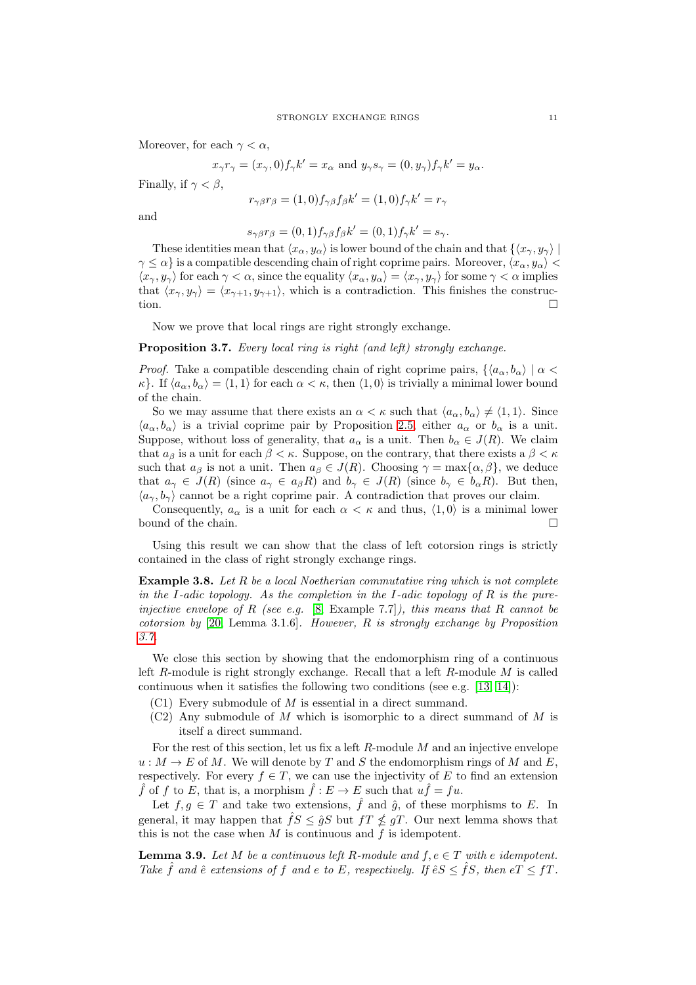Moreover, for each  $\gamma < \alpha$ ,

$$
x_\gamma r_\gamma = (x_\gamma,0) f_\gamma k' = x_\alpha \text{ and } y_\gamma s_\gamma = (0,y_\gamma) f_\gamma k' = y_\alpha.
$$

Finally, if  $\gamma < \beta$ ,

$$
r_{\gamma\beta}r_{\beta} = (1,0)f_{\gamma\beta}f_{\beta}k' = (1,0)f_{\gamma}k' = r_{\gamma}
$$

and

$$
s_{\gamma\beta}r_{\beta} = (0,1)f_{\gamma\beta}f_{\beta}k' = (0,1)f_{\gamma}k' = s_{\gamma}.
$$

These identities mean that  $\langle x_\alpha, y_\alpha \rangle$  is lower bound of the chain and that  $\{\langle x_\gamma, y_\gamma \rangle |$  $\gamma \leq \alpha$  is a compatible descending chain of right coprime pairs. Moreover,  $\langle x_\alpha, y_\alpha \rangle$  $\langle x_{\gamma}, y_{\gamma} \rangle$  for each  $\gamma < \alpha$ , since the equality  $\langle x_{\alpha}, y_{\alpha} \rangle = \langle x_{\gamma}, y_{\gamma} \rangle$  for some  $\gamma < \alpha$  implies that  $\langle x_{\gamma}, y_{\gamma} \rangle = \langle x_{\gamma+1}, y_{\gamma+1} \rangle$ , which is a contradiction. This finishes the construction.  $\Box$ 

Now we prove that local rings are right strongly exchange.

# <span id="page-10-0"></span>Proposition 3.7. Every local ring is right (and left) strongly exchange.

*Proof.* Take a compatible descending chain of right coprime pairs,  $\{\langle a_{\alpha}, b_{\alpha}\rangle \mid \alpha$  $\kappa$ . If  $\langle a_{\alpha}, b_{\alpha} \rangle = \langle 1, 1 \rangle$  for each  $\alpha < \kappa$ , then  $\langle 1, 0 \rangle$  is trivially a minimal lower bound of the chain.

So we may assume that there exists an  $\alpha < \kappa$  such that  $\langle a_{\alpha}, b_{\alpha} \rangle \neq \langle 1, 1 \rangle$ . Since  $\langle a_{\alpha}, b_{\alpha} \rangle$  is a trivial coprime pair by Proposition [2.5,](#page-4-0) either  $a_{\alpha}$  or  $b_{\alpha}$  is a unit. Suppose, without loss of generality, that  $a_{\alpha}$  is a unit. Then  $b_{\alpha} \in J(R)$ . We claim that  $a_{\beta}$  is a unit for each  $\beta < \kappa$ . Suppose, on the contrary, that there exists a  $\beta < \kappa$ such that  $a_{\beta}$  is not a unit. Then  $a_{\beta} \in J(R)$ . Choosing  $\gamma = \max{\{\alpha, \beta\}}$ , we deduce that  $a_{\gamma} \in J(R)$  (since  $a_{\gamma} \in a_{\beta}R$ ) and  $b_{\gamma} \in J(R)$  (since  $b_{\gamma} \in b_{\alpha}R$ ). But then,  $\langle a_{\gamma}, b_{\gamma} \rangle$  cannot be a right coprime pair. A contradiction that proves our claim.

Consequently,  $a_{\alpha}$  is a unit for each  $\alpha < \kappa$  and thus,  $\langle 1, 0 \rangle$  is a minimal lower bound of the chain.  $\Box$ 

Using this result we can show that the class of left cotorsion rings is strictly contained in the class of right strongly exchange rings.

**Example 3.8.** Let  $R$  be a local Noetherian commutative ring which is not complete in the I-adic topology. As the completion in the I-adic topology of  $R$  is the pureinjective envelope of R (see e.g.  $[8, \text{Example } 7.7]$  $[8, \text{Example } 7.7]$ ), this means that R cannot be cotorsion by [\[20,](#page-18-16) Lemma 3.1.6]. However, R is strongly exchange by Proposition [3.7.](#page-10-0)

We close this section by showing that the endomorphism ring of a continuous left R-module is right strongly exchange. Recall that a left R-module  $M$  is called continuous when it satisfies the following two conditions (see e.g. [\[13,](#page-18-9) [14\]](#page-18-10)):

- $(C1)$  Every submodule of M is essential in a direct summand.
- $(C2)$  Any submodule of M which is isomorphic to a direct summand of M is itself a direct summand.

For the rest of this section, let us fix a left  $R$ -module  $M$  and an injective envelope  $u : M \to E$  of M. We will denote by T and S the endomorphism rings of M and E, respectively. For every  $f \in T$ , we can use the injectivity of E to find an extension f of f to E, that is, a morphism  $\hat{f}: E \to E$  such that  $u\hat{f} = fu$ .

Let  $f, g \in T$  and take two extensions,  $\hat{f}$  and  $\hat{g}$ , of these morphisms to E. In general, it may happen that  $\hat{f}S \leq \hat{g}S$  but  $fT \nleq gT$ . Our next lemma shows that this is not the case when  $M$  is continuous and  $f$  is idempotent.

<span id="page-10-1"></span>**Lemma 3.9.** Let M be a continuous left R-module and  $f, e \in T$  with e idempotent. Take  $\hat{f}$  and  $\hat{e}$  extensions of f and e to E, respectively. If  $\hat{e}S \leq \hat{f}S$ , then  $eT \leq fT$ .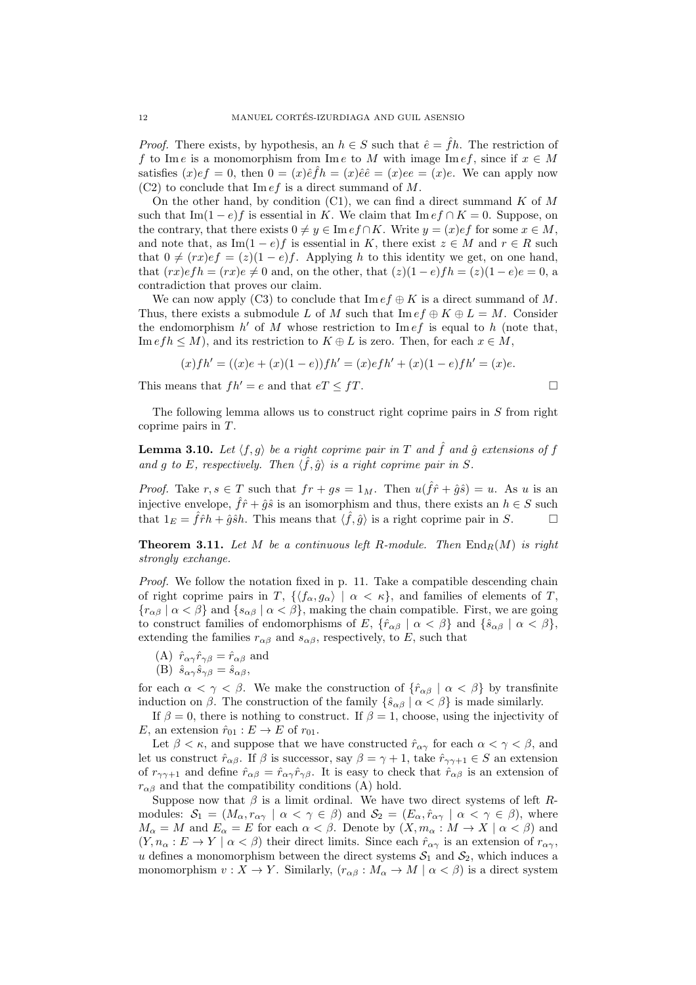*Proof.* There exists, by hypothesis, an  $h \in S$  such that  $\hat{e} = \hat{f}h$ . The restriction of f to Im e is a monomorphism from Im e to M with image Im ef, since if  $x \in M$ satisfies  $(x)ef = 0$ , then  $0 = (x)\hat{e}\hat{f}h = (x)\hat{e}\hat{e} = (x)ee = (x)e$ . We can apply now  $(C2)$  to conclude that Im *ef* is a direct summand of M.

On the other hand, by condition  $(C1)$ , we can find a direct summand K of M such that Im(1 − e)f is essential in K. We claim that Im  $ef \cap K = 0$ . Suppose, on the contrary, that there exists  $0 \neq y \in \text{Im }ef \cap K$ . Write  $y = (x)ef$  for some  $x \in M$ , and note that, as Im $(1-e)f$  is essential in K, there exist  $z \in M$  and  $r \in R$  such that  $0 \neq (rx)ef = (z)(1 - e)f$ . Applying h to this identity we get, on one hand, that  $(rx)efh = (rx)e \neq 0$  and, on the other, that  $(z)(1-e)fh = (z)(1-e)e = 0$ , a contradiction that proves our claim.

We can now apply (C3) to conclude that  $\text{Im }ef \oplus K$  is a direct summand of M. Thus, there exists a submodule L of M such that  $\text{Im }ef \oplus K \oplus L = M$ . Consider the endomorphism  $h'$  of M whose restriction to Im  $ef$  is equal to h (note that, Im  $efh \leq M$ , and its restriction to  $K \oplus L$  is zero. Then, for each  $x \in M$ ,

$$
(x)fh' = ((x)e + (x)(1 - e))fh' = (x)efh' + (x)(1 - e)fh' = (x)e.
$$

This means that  $fh' = e$  and that  $eT \leq fT$ .

The following lemma allows us to construct right coprime pairs in S from right coprime pairs in  $T$ .

<span id="page-11-1"></span>**Lemma 3.10.** Let  $\langle f, g \rangle$  be a right coprime pair in T and  $\hat{f}$  and  $\hat{g}$  extensions of f and g to E, respectively. Then  $\langle \hat{f}, \hat{g} \rangle$  is a right coprime pair in S.

*Proof.* Take  $r, s \in T$  such that  $fr + gs = 1_M$ . Then  $u(\hat{f}\hat{r} + \hat{g}\hat{s}) = u$ . As u is an injective envelope,  $\hat{f}\hat{r}+\hat{g}\hat{s}$  is an isomorphism and thus, there exists an  $h\in S$  such that  $1_E = \hat{f}\hat{r}h + \hat{g}\hat{s}h$ . This means that  $\langle \hat{f}, \hat{g} \rangle$  is a right coprime pair in S.

<span id="page-11-0"></span>**Theorem 3.11.** Let M be a continuous left R-module. Then  $\text{End}_R(M)$  is right strongly exchange.

Proof. We follow the notation fixed in p. 11. Take a compatible descending chain of right coprime pairs in T,  $\{\langle f_{\alpha}, g_{\alpha} \rangle \mid \alpha < \kappa\}$ , and families of elements of T,  ${r_{\alpha\beta} \mid \alpha < \beta}$  and  ${s_{\alpha\beta} \mid \alpha < \beta}$ , making the chain compatible. First, we are going to construct families of endomorphisms of E,  $\{\hat{r}_{\alpha\beta} \mid \alpha < \beta\}$  and  $\{\hat{s}_{\alpha\beta} \mid \alpha < \beta\}$ , extending the families  $r_{\alpha\beta}$  and  $s_{\alpha\beta}$ , respectively, to E, such that

- (A)  $\hat{r}_{\alpha\gamma}\hat{r}_{\gamma\beta} = \hat{r}_{\alpha\beta}$  and
- (B)  $\hat{s}_{\alpha\gamma}\hat{s}_{\gamma\beta} = \hat{s}_{\alpha\beta},$

for each  $\alpha < \gamma < \beta$ . We make the construction of  $\{\hat{r}_{\alpha\beta} \mid \alpha < \beta\}$  by transfinite induction on  $\beta$ . The construction of the family  $\{\hat{s}_{\alpha\beta} \mid \alpha < \beta\}$  is made similarly.

If  $\beta = 0$ , there is nothing to construct. If  $\beta = 1$ , choose, using the injectivity of E, an extension  $\hat{r}_{01} : E \to E$  of  $r_{01}$ .

Let  $\beta < \kappa$ , and suppose that we have constructed  $\hat{r}_{\alpha\gamma}$  for each  $\alpha < \gamma < \beta$ , and let us construct  $\hat{r}_{\alpha\beta}$ . If  $\beta$  is successor, say  $\beta = \gamma + 1$ , take  $\hat{r}_{\gamma\gamma+1} \in S$  an extension of  $r_{\gamma\gamma+1}$  and define  $\hat{r}_{\alpha\beta} = \hat{r}_{\alpha\gamma}\hat{r}_{\gamma\beta}$ . It is easy to check that  $\hat{r}_{\alpha\beta}$  is an extension of  $r_{\alpha\beta}$  and that the compatibility conditions (A) hold.

Suppose now that  $\beta$  is a limit ordinal. We have two direct systems of left Rmodules:  $S_1 = (M_\alpha, r_{\alpha\gamma} \mid \alpha < \gamma \in \beta)$  and  $S_2 = (E_\alpha, \hat{r}_{\alpha\gamma} \mid \alpha < \gamma \in \beta)$ , where  $M_{\alpha} = M$  and  $E_{\alpha} = E$  for each  $\alpha < \beta$ . Denote by  $(X, m_{\alpha}: M \to X \mid \alpha < \beta)$  and  $(Y, n_{\alpha}: E \to Y \mid \alpha < \beta)$  their direct limits. Since each  $\hat{r}_{\alpha\gamma}$  is an extension of  $r_{\alpha\gamma}$ , u defines a monomorphism between the direct systems  $S_1$  and  $S_2$ , which induces a monomorphism  $v: X \to Y$ . Similarly,  $(r_{\alpha\beta}: M_{\alpha} \to M | \alpha < \beta)$  is a direct system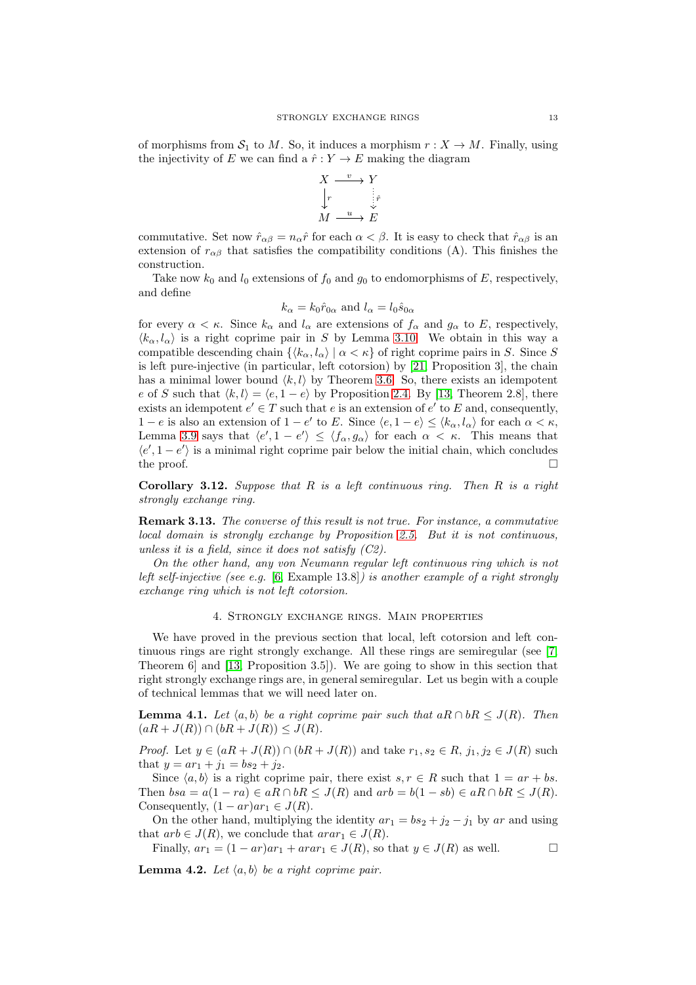of morphisms from  $S_1$  to M. So, it induces a morphism  $r : X \to M$ . Finally, using the injectivity of E we can find a  $\hat{r}: Y \to E$  making the diagram

$$
X \xrightarrow{v} Y
$$
  
\n
$$
\downarrow_r
$$
  
\n
$$
M \xrightarrow{u} E
$$

commutative. Set now  $\hat{r}_{\alpha\beta} = n_{\alpha}\hat{r}$  for each  $\alpha < \beta$ . It is easy to check that  $\hat{r}_{\alpha\beta}$  is an extension of  $r_{\alpha\beta}$  that satisfies the compatibility conditions (A). This finishes the construction.

Take now  $k_0$  and  $l_0$  extensions of  $f_0$  and  $g_0$  to endomorphisms of E, respectively, and define

$$
k_{\alpha} = k_0 \hat{r}_{0\alpha}
$$
 and  $l_{\alpha} = l_0 \hat{s}_{0\alpha}$ 

for every  $\alpha < \kappa$ . Since  $k_{\alpha}$  and  $l_{\alpha}$  are extensions of  $f_{\alpha}$  and  $g_{\alpha}$  to E, respectively,  $\langle k_\alpha, l_\alpha \rangle$  is a right coprime pair in S by Lemma [3.10.](#page-11-1) We obtain in this way a compatible descending chain  $\{\langle k_{\alpha}, l_{\alpha} \rangle | \alpha \langle \kappa \rangle\}$  of right coprime pairs in S. Since S is left pure-injective (in particular, left cotorsion) by [\[21,](#page-18-8) Proposition 3], the chain has a minimal lower bound  $\langle k, l \rangle$  by Theorem [3.6.](#page-9-0) So, there exists an idempotent e of S such that  $\langle k, l \rangle = \langle e, 1 - e \rangle$  by Proposition [2.4.](#page-4-1) By [\[13,](#page-18-9) Theorem 2.8], there exists an idempotent  $e' \in T$  such that e is an extension of  $e'$  to E and, consequently, 1 − e is also an extension of 1 − e' to E. Since  $\langle e, 1 - e \rangle \leq \langle k_\alpha, l_\alpha \rangle$  for each  $\alpha < \kappa$ , Lemma [3.9](#page-10-1) says that  $\langle e', 1 - e' \rangle \le \langle f_\alpha, g_\alpha \rangle$  for each  $\alpha < \kappa$ . This means that  $\langle e', 1-e' \rangle$  is a minimal right coprime pair below the initial chain, which concludes the proof.  $\Box$ 

**Corollary 3.12.** Suppose that  $R$  is a left continuous ring. Then  $R$  is a right strongly exchange ring.

Remark 3.13. The converse of this result is not true. For instance, a commutative local domain is strongly exchange by Proposition [2.5.](#page-4-0) But it is not continuous, unless it is a field, since it does not satisfy  $(C2)$ .

On the other hand, any von Neumann regular left continuous ring which is not left self-injective (see e.g.  $[6, \text{Example 13.8}]$  $[6, \text{Example 13.8}]$ ) is another example of a right strongly exchange ring which is not left cotorsion.

#### 4. Strongly exchange rings. Main properties

We have proved in the previous section that local, left cotorsion and left continuous rings are right strongly exchange. All these rings are semiregular (see [\[7,](#page-18-6) Theorem 6] and [\[13,](#page-18-9) Proposition 3.5]). We are going to show in this section that right strongly exchange rings are, in general semiregular. Let us begin with a couple of technical lemmas that we will need later on.

<span id="page-12-1"></span>**Lemma 4.1.** Let  $\langle a, b \rangle$  be a right coprime pair such that aR ∩ bR  $\leq J(R)$ . Then  $(aR + J(R)) \cap (bR + J(R)) \leq J(R)$ .

*Proof.* Let  $y \in (aR + J(R)) \cap (bR + J(R))$  and take  $r_1, s_2 \in R$ ,  $j_1, j_2 \in J(R)$  such that  $y = ar_1 + j_1 = bs_2 + j_2$ .

Since  $\langle a, b \rangle$  is a right coprime pair, there exist  $s, r \in R$  such that  $1 = ar + bs$ . Then  $bsa = a(1 - ra) \in aR \cap bR \leq J(R)$  and  $arb = b(1 - sb) \in aR \cap bR \leq J(R)$ . Consequently,  $(1-ar)ar_1 \in J(R)$ .

On the other hand, multiplying the identity  $ar_1 = bs_2 + j_2 - j_1$  by ar and using that  $arb \in J(R)$ , we conclude that  $arar_1 \in J(R)$ .

Finally,  $ar_1 = (1 - ar)ar_1 + arar_1 \in J(R)$ , so that  $y \in J(R)$  as well.  $\square$ 

<span id="page-12-0"></span>**Lemma 4.2.** Let  $\langle a, b \rangle$  be a right coprime pair.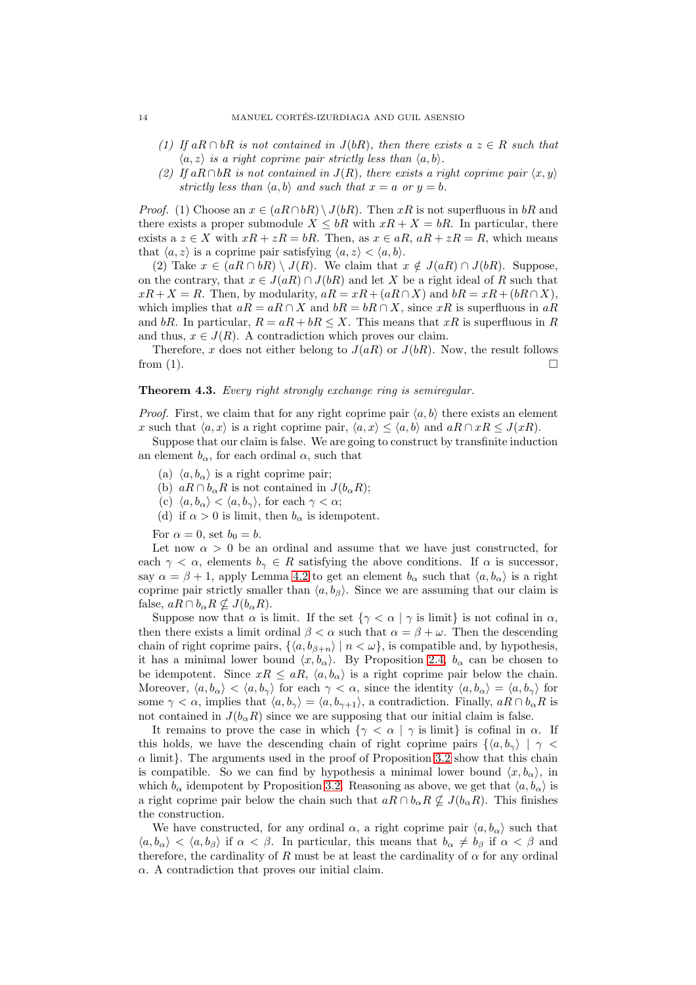- (1) If aR ∩ bR is not contained in  $J(bR)$ , then there exists a  $z \in R$  such that  $\langle a, z \rangle$  is a right coprime pair strictly less than  $\langle a, b \rangle$ .
- (2) If aR∩bR is not contained in  $J(R)$ , there exists a right coprime pair  $\langle x, y \rangle$ strictly less than  $\langle a, b \rangle$  and such that  $x = a$  or  $y = b$ .

*Proof.* (1) Choose an  $x \in (aR \cap bR) \setminus J(bR)$ . Then xR is not superfluous in bR and there exists a proper submodule  $X \leq bR$  with  $xR + X = bR$ . In particular, there exists a  $z \in X$  with  $xR + zR = bR$ . Then, as  $x \in aR$ ,  $aR + zR = R$ , which means that  $\langle a, z \rangle$  is a coprime pair satisfying  $\langle a, z \rangle < \langle a, b \rangle$ .

(2) Take  $x \in (aR \cap bR) \setminus J(R)$ . We claim that  $x \notin J(aR) \cap J(bR)$ . Suppose, on the contrary, that  $x \in J(aR) \cap J(bR)$  and let X be a right ideal of R such that  $xR + X = R$ . Then, by modularity,  $aR = xR + (aR \cap X)$  and  $bR = xR + (bR \cap X)$ , which implies that  $aR = aR \cap X$  and  $bR = bR \cap X$ , since xR is superfluous in  $aR$ and bR. In particular,  $R = aR + bR \leq X$ . This means that xR is superfluous in R and thus,  $x \in J(R)$ . A contradiction which proves our claim.

Therefore, x does not either belong to  $J(aR)$  or  $J(bR)$ . Now, the result follows from (1).  $\Box$ 

## <span id="page-13-0"></span>Theorem 4.3. Every right strongly exchange ring is semiregular.

*Proof.* First, we claim that for any right coprime pair  $\langle a, b \rangle$  there exists an element x such that  $\langle a, x \rangle$  is a right coprime pair,  $\langle a, x \rangle \le \langle a, b \rangle$  and  $aR \cap xR \le J(xR)$ .

Suppose that our claim is false. We are going to construct by transfinite induction an element  $b_{\alpha}$ , for each ordinal  $\alpha$ , such that

- (a)  $\langle a, b_{\alpha} \rangle$  is a right coprime pair;
- (b)  $aR \cap b_{\alpha}R$  is not contained in  $J(b_{\alpha}R)$ ;
- (c)  $\langle a, b_{\alpha} \rangle < \langle a, b_{\gamma} \rangle$ , for each  $\gamma < \alpha$ ;
- (d) if  $\alpha > 0$  is limit, then  $b_{\alpha}$  is idempotent.
- For  $\alpha = 0$ , set  $b_0 = b$ .

Let now  $\alpha > 0$  be an ordinal and assume that we have just constructed, for each  $\gamma < \alpha$ , elements  $b_{\gamma} \in R$  satisfying the above conditions. If  $\alpha$  is successor, say  $\alpha = \beta + 1$ , apply Lemma [4.2](#page-12-0) to get an element  $b_{\alpha}$  such that  $\langle a, b_{\alpha} \rangle$  is a right coprime pair strictly smaller than  $\langle a, b_\beta \rangle$ . Since we are assuming that our claim is false,  $aR \cap b_{\alpha}R \nsubseteq J(b_{\alpha}R)$ .

Suppose now that  $\alpha$  is limit. If the set  $\{\gamma < \alpha \mid \gamma \text{ is limit}\}$  is not cofinal in  $\alpha$ , then there exists a limit ordinal  $\beta < \alpha$  such that  $\alpha = \beta + \omega$ . Then the descending chain of right coprime pairs,  $\{\langle a, b_{\beta+n} \rangle | n < \omega\}$ , is compatible and, by hypothesis, it has a minimal lower bound  $\langle x, b_{\alpha} \rangle$ . By Proposition [2.4,](#page-4-1)  $b_{\alpha}$  can be chosen to be idempotent. Since  $xR \le aR$ ,  $\langle a, b_{\alpha} \rangle$  is a right coprime pair below the chain. Moreover,  $\langle a, b_{\alpha} \rangle < \langle a, b_{\gamma} \rangle$  for each  $\gamma < \alpha$ , since the identity  $\langle a, b_{\alpha} \rangle = \langle a, b_{\gamma} \rangle$  for some  $\gamma < \alpha$ , implies that  $\langle a, b_{\gamma} \rangle = \langle a, b_{\gamma+1} \rangle$ , a contradiction. Finally,  $aR \cap b_{\alpha}R$  is not contained in  $J(b_{\alpha}R)$  since we are supposing that our initial claim is false.

It remains to prove the case in which  $\{\gamma < \alpha \mid \gamma \text{ is limit}\}\$ is cofinal in  $\alpha$ . If this holds, we have the descending chain of right coprime pairs  $\{(a, b_{\gamma}) \mid \gamma \leq \gamma\}$  $\alpha$  limit}. The arguments used in the proof of Proposition [3.2](#page-6-1) show that this chain is compatible. So we can find by hypothesis a minimal lower bound  $\langle x, b_{\alpha} \rangle$ , in which  $b_{\alpha}$  idempotent by Proposition [3.2.](#page-6-1) Reasoning as above, we get that  $\langle a, b_{\alpha} \rangle$  is a right coprime pair below the chain such that  $aR \cap b_{\alpha}R \not\subset J(b_{\alpha}R)$ . This finishes the construction.

We have constructed, for any ordinal  $\alpha$ , a right coprime pair  $\langle a, b_{\alpha} \rangle$  such that  $\langle a, b_{\alpha} \rangle < \langle a, b_{\beta} \rangle$  if  $\alpha < \beta$ . In particular, this means that  $b_{\alpha} \neq b_{\beta}$  if  $\alpha < \beta$  and therefore, the cardinality of R must be at least the cardinality of  $\alpha$  for any ordinal  $\alpha$ . A contradiction that proves our initial claim.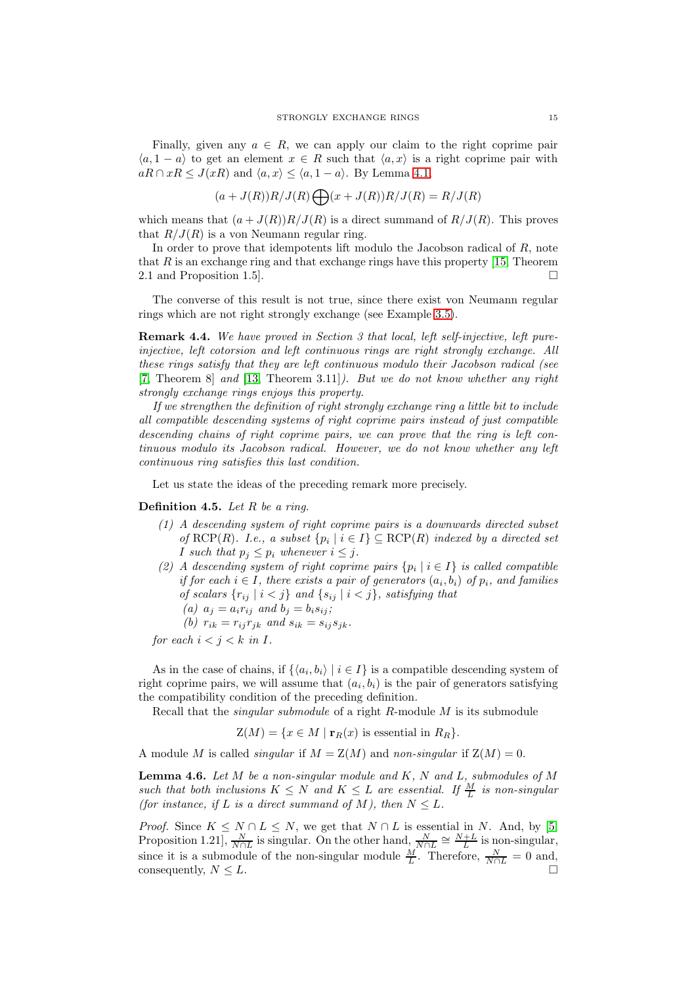Finally, given any  $a \in R$ , we can apply our claim to the right coprime pair  $\langle a, 1 - a \rangle$  to get an element  $x \in R$  such that  $\langle a, x \rangle$  is a right coprime pair with  $aR \cap xR \leq J(xR)$  and  $\langle a, x \rangle \leq \langle a, 1 - a \rangle$ . By Lemma [4.1,](#page-12-1)

$$
(a+J(R))R/J(R)\bigoplus (x+J(R))R/J(R)=R/J(R)
$$

which means that  $(a+J(R))R/J(R)$  is a direct summand of  $R/J(R)$ . This proves that  $R/J(R)$  is a von Neumann regular ring.

In order to prove that idempotents lift modulo the Jacobson radical of  $R$ , note that  $R$  is an exchange ring and that exchange rings have this property [\[15,](#page-18-3) Theorem 2.1 and Proposition 1.5].

The converse of this result is not true, since there exist von Neumann regular rings which are not right strongly exchange (see Example [3.5\)](#page-7-0).

Remark 4.4. We have proved in Section 3 that local, left self-injective, left pureinjective, left cotorsion and left continuous rings are right strongly exchange. All these rings satisfy that they are left continuous modulo their Jacobson radical (see [\[7,](#page-18-6) Theorem 8] and [\[13,](#page-18-9) Theorem 3.11]). But we do not know whether any right strongly exchange rings enjoys this property.

If we strengthen the definition of right strongly exchange ring a little bit to include all compatible descending systems of right coprime pairs instead of just compatible descending chains of right coprime pairs, we can prove that the ring is left continuous modulo its Jacobson radical. However, we do not know whether any left continuous ring satisfies this last condition.

Let us state the ideas of the preceding remark more precisely.

# **Definition 4.5.** Let  $R$  be a ring.

- (1) A descending system of right coprime pairs is a downwards directed subset of RCP(R). I.e., a subset  $\{p_i \mid i \in I\} \subseteq \text{RCP}(R)$  indexed by a directed set I such that  $p_i \leq p_i$  whenever  $i \leq j$ .
- (2) A descending system of right coprime pairs  $\{p_i \mid i \in I\}$  is called compatible if for each  $i \in I$ , there exists a pair of generators  $(a_i, b_i)$  of  $p_i$ , and families of scalars  $\{r_{ij} \mid i < j\}$  and  $\{s_{ij} \mid i < j\}$ , satisfying that (a)  $a_j = a_i r_{ij}$  and  $b_j = b_i s_{ij}$ ;
	- (b)  $r_{ik} = r_{ij} r_{jk}$  and  $s_{ik} = s_{ij} s_{jk}$ .

for each  $i < j < k$  in I.

As in the case of chains, if  $\{ \langle a_i, b_i \rangle \mid i \in I \}$  is a compatible descending system of right coprime pairs, we will assume that  $(a_i, b_i)$  is the pair of generators satisfying the compatibility condition of the preceding definition.

Recall that the *singular submodule* of a right R-module M is its submodule

 $Z(M) = \{x \in M \mid \mathbf{r}_R(x)$  is essential in  $R_R\}.$ 

A module M is called *singular* if  $M = Z(M)$  and *non-singular* if  $Z(M) = 0$ .

<span id="page-14-0"></span>**Lemma 4.6.** Let  $M$  be a non-singular module and  $K$ ,  $N$  and  $L$ , submodules of  $M$ such that both inclusions  $K \leq N$  and  $K \leq L$  are essential. If  $\frac{M}{L}$  is non-singular (for instance, if L is a direct summand of M), then  $N \leq L$ .

*Proof.* Since  $K \leq N \cap L \leq N$ , we get that  $N \cap L$  is essential in N. And, by [\[5,](#page-18-18) Proposition 1.21],  $\frac{N}{N \cap L}$  is singular. On the other hand,  $\frac{N}{N \cap L} \cong \frac{N+L}{L}$  is non-singular, since it is a submodule of the non-singular module  $\frac{M}{L}$ . Therefore,  $\frac{N}{N \cap L} = 0$  and, consequently,  $N \leq L$ .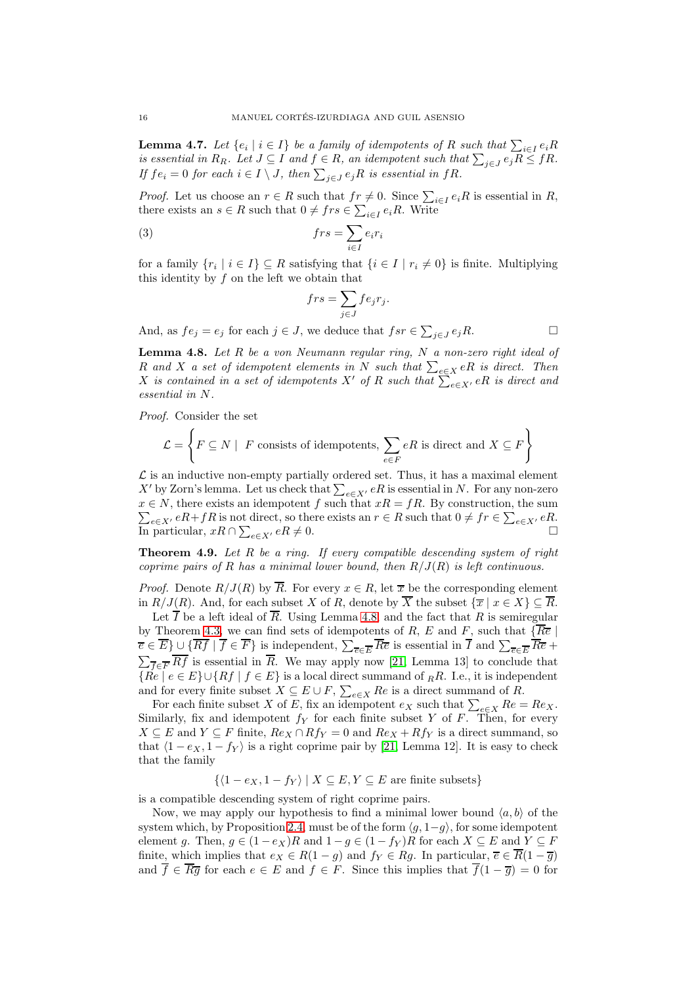<span id="page-15-2"></span>**Lemma 4.7.** Let  $\{e_i \mid i \in I\}$  be a family of idempotents of R such that  $\sum_{i \in I} e_i R_i$ is essential in  $R_R$ . Let  $J \subseteq I$  and  $f \in R$ , an idempotent such that  $\sum_{j \in J} e_j R \leq fR$ . If  $fe_i = 0$  for each  $i \in I \setminus J$ , then  $\sum_{j \in J} e_j R$  is essential in  $fR$ .

*Proof.* Let us choose an  $r \in R$  such that  $fr \neq 0$ . Since  $\sum_{i \in I} e_i R$  is essential in R, there exists an  $s \in R$  such that  $0 \neq frs \in \sum_{i \in I} e_iR$ . Write

(3) 
$$
frs = \sum_{i \in I} e_i r_i
$$

for a family  $\{r_i \mid i \in I\} \subseteq R$  satisfying that  $\{i \in I \mid r_i \neq 0\}$  is finite. Multiplying this identity by  $f$  on the left we obtain that

$$
frs = \sum_{j \in J} f e_j r_j.
$$

And, as  $fe_j = e_j$  for each  $j \in J$ , we deduce that  $fsr \in \sum_{j \in J} e_j R$ .

<span id="page-15-1"></span>**Lemma 4.8.** Let  $R$  be a von Neumann regular ring,  $N$  a non-zero right ideal of R and X a set of idempotent elements in N such that  $\sum_{e \in X} eR$  is direct. Then X is contained in a set of idempotents X' of R such that  $\sum_{e \in X'} eR$  is direct and essential in N.

Proof. Consider the set

$$
\mathcal{L} = \left\{ F \subseteq N \mid F \text{ consists of idempotents, } \sum_{e \in F} eR \text{ is direct and } X \subseteq F \right\}
$$

 $\mathcal L$  is an inductive non-empty partially ordered set. Thus, it has a maximal element X' by Zorn's lemma. Let us check that  $\sum_{e \in X'} eR$  is essential in N. For any non-zero  $x \in N$ , there exists an idempotent f such that  $xR = fR$ . By construction, the sum  $\sum_{e \in X'} eR + fR$  is not direct, so there exists an  $r \in R$  such that  $0 \neq fr \in \sum_{e \in X'} eR$ . In particular,  $xR \cap \sum_{e \in X'} eR \neq 0$ .

<span id="page-15-0"></span>**Theorem 4.9.** Let R be a ring. If every compatible descending system of right coprime pairs of R has a minimal lower bound, then  $R/J(R)$  is left continuous.

*Proof.* Denote  $R/J(R)$  by  $\overline{R}$ . For every  $x \in R$ , let  $\overline{x}$  be the corresponding element in  $R/J(R)$ . And, for each subset X of R, denote by  $\overline{X}$  the subset  $\{\overline{x} \mid x \in X\} \subseteq \overline{R}$ .

Let  $\overline{I}$  be a left ideal of  $\overline{R}$ . Using Lemma [4.8,](#page-15-1) and the fact that  $R$  is semiregular by Theorem [4.3,](#page-13-0) we can find sets of idempotents of R, E and F, such that  $\{\overline{Re} |$  $\overline{e} \in E$   $\cup$  { $Rf | f \in F$ } is independent,  $\sum_{\overline{e} \in \overline{E}} R\overline{e}$  is essential in I and  $\sum_{\overline{e} \in \overline{E}} R\overline{e}$  +  $\sum_{\overline{f} \in \overline{F}} R f$  is essential in R. We may apply now [\[21,](#page-18-8) Lemma 13] to conclude that  ${Re \mid e \in E} \cup {Rf \mid f \in E}$  is a local direct summand of  $_R R$ . I.e., it is independent and for every finite subset  $X \subseteq E \cup F$ ,  $\sum_{e \in X} Re$  is a direct summand of R.

For each finite subset X of E, fix an idempotent  $e_X$  such that  $\sum_{e \in X} Re = Re_X$ . Similarly, fix and idempotent  $f_Y$  for each finite subset Y of F. Then, for every  $X \subseteq E$  and  $Y \subseteq F$  finite,  $Re_X \cap Rf_Y = 0$  and  $Re_X + Rf_Y$  is a direct summand, so that  $\langle 1 - e_X, 1 - f_Y \rangle$  is a right coprime pair by [\[21,](#page-18-8) Lemma 12]. It is easy to check that the family

 $\{(1 - e_X, 1 - f_Y) | X \subseteq E, Y \subseteq E \text{ are finite subsets}\}\$ 

is a compatible descending system of right coprime pairs.

Now, we may apply our hypothesis to find a minimal lower bound  $\langle a, b \rangle$  of the system which, by Proposition [2.4,](#page-4-1) must be of the form  $\langle g, 1-q \rangle$ , for some idempotent element g. Then,  $g \in (1 - e_X)R$  and  $1 - g \in (1 - f_Y)R$  for each  $X \subseteq E$  and  $Y \subseteq F$ finite, which implies that  $e_X \in R(1-q)$  and  $f_Y \in Rg$ . In particular,  $\overline{e} \in \overline{R}(1-\overline{g})$ and  $\overline{f} \in \overline{Rg}$  for each  $e \in E$  and  $f \in F$ . Since this implies that  $\overline{f}(1-\overline{g})=0$  for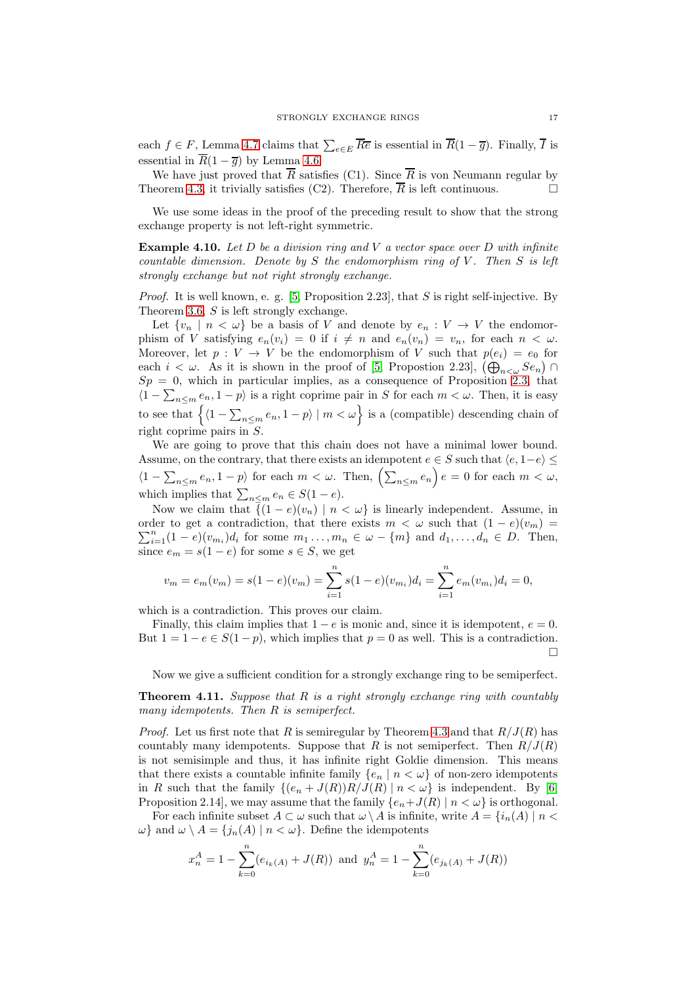each  $f \in F$ , Lemma [4.7](#page-15-2) claims that  $\sum_{e \in E} R\overline{e}$  is essential in  $R(1 - \overline{g})$ . Finally, I is essential in  $\overline{R}(1-\overline{q})$  by Lemma [4.6.](#page-14-0)

We have just proved that  $\overline{R}$  satisfies (C1). Since  $\overline{R}$  is von Neumann regular by Theorem [4.3,](#page-13-0) it trivially satisfies (C2). Therefore,  $\overline{R}$  is left continuous.

We use some ideas in the proof of the preceding result to show that the strong exchange property is not left-right symmetric.

<span id="page-16-0"></span>**Example 4.10.** Let  $D$  be a division ring and  $V$  a vector space over  $D$  with infinite countable dimension. Denote by  $S$  the endomorphism ring of  $V$ . Then  $S$  is left strongly exchange but not right strongly exchange.

*Proof.* It is well known, e. g. [\[5,](#page-18-18) Proposition 2.23], that S is right self-injective. By Theorem [3.6,](#page-9-0) S is left strongly exchange.

Let  $\{v_n \mid n < \omega\}$  be a basis of V and denote by  $e_n : V \to V$  the endomorphism of V satisfying  $e_n(v_i) = 0$  if  $i \neq n$  and  $e_n(v_n) = v_n$ , for each  $n < \omega$ . Moreover, let  $p: V \to V$  be the endomorphism of V such that  $p(e_i) = e_0$  for each  $i < \omega$ . As it is shown in the proof of [\[5,](#page-18-18) Propostion 2.23],  $(\bigoplus_{n<\omega} Se_n) \cap$  $Sp = 0$ , which in particular implies, as a consequence of Proposition [2.3,](#page-2-0) that  $\langle 1 - \sum_{n \le m} e_n, 1 - p \rangle$  is a right coprime pair in S for each  $m < \omega$ . Then, it is easy to see that  $\left\{ \langle 1 - \sum_{n \le m} e_n, 1 - p \rangle \mid m < \omega \right\}$  is a (compatible) descending chain of right coprime pairs in S.

We are going to prove that this chain does not have a minimal lower bound. Assume, on the contrary, that there exists an idempotent  $e \in S$  such that  $\langle e, 1-e \rangle \leq$  $\langle 1-\sum_{n\leq m}e_n, 1-p\rangle$  for each  $m < \omega$ . Then,  $\left(\sum_{n\leq m}e_n\right)e = 0$  for each  $m < \omega$ , which implies that  $\sum_{n\leq m} e_n \in S(1-e)$ .

Now we claim that  $\{ (1 - e)(v_n) \mid n < \omega \}$  is linearly independent. Assume, in order to get a contradiction, that there exists  $m < \omega$  such that  $(1 - e)(v_m) =$  $\sum_{i=1}^{n} (1-e)(v_{m_i})d_i$  for some  $m_1 \ldots, m_n \in \omega - \{m\}$  and  $d_1, \ldots, d_n \in D$ . Then, since  $e_m = s(1 - e)$  for some  $s \in S$ , we get

$$
v_m = e_m(v_m) = s(1 - e)(v_m) = \sum_{i=1}^n s(1 - e)(v_{m_i})d_i = \sum_{i=1}^n e_m(v_{m_i})d_i = 0,
$$

which is a contradiction. This proves our claim.

Finally, this claim implies that  $1 - e$  is monic and, since it is idempotent,  $e = 0$ . But  $1 = 1 - e \in S(1 - p)$ , which implies that  $p = 0$  as well. This is a contradiction.  $\Box$ 

Now we give a sufficient condition for a strongly exchange ring to be semiperfect.

<span id="page-16-1"></span>**Theorem 4.11.** Suppose that  $R$  is a right strongly exchange ring with countably many idempotents. Then R is semiperfect.

*Proof.* Let us first note that R is semiregular by Theorem [4.3](#page-13-0) and that  $R/J(R)$  has countably many idempotents. Suppose that R is not semiperfect. Then  $R/J(R)$ is not semisimple and thus, it has infinite right Goldie dimension. This means that there exists a countable infinite family  ${e_n | n < \omega}$  of non-zero idempotents in R such that the family  $\{(e_n+J(R))R/J(R) | n < \omega\}$  is independent. By [\[6,](#page-18-17) Proposition 2.14], we may assume that the family  $\{e_n+J(R) \mid n < \omega\}$  is orthogonal.

For each infinite subset  $A \subset \omega$  such that  $\omega \setminus A$  is infinite, write  $A = \{i_n(A) \mid n <$  $\omega$ } and  $\omega \setminus A = \{j_n(A) \mid n < \omega\}$ . Define the idempotents

$$
x_n^A = 1 - \sum_{k=0}^n (e_{i_k(A)} + J(R))
$$
 and  $y_n^A = 1 - \sum_{k=0}^n (e_{j_k(A)} + J(R))$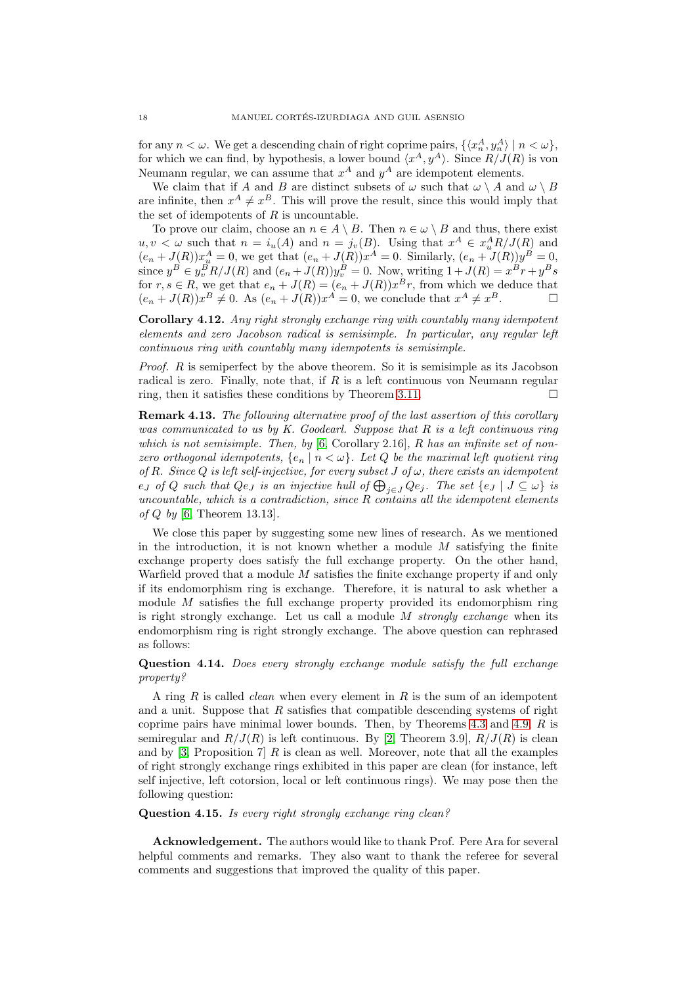for any  $n < \omega$ . We get a descending chain of right coprime pairs,  $\{ \langle x_n^A, y_n^A \rangle \mid n < \omega \},$ for which we can find, by hypothesis, a lower bound  $\langle x^A, y^A \rangle$ . Since  $R/J(R)$  is von Neumann regular, we can assume that  $x^A$  and  $y^A$  are idempotent elements.

We claim that if A and B are distinct subsets of  $\omega$  such that  $\omega \setminus A$  and  $\omega \setminus B$ are infinite, then  $x^A \neq x^B$ . This will prove the result, since this would imply that the set of idempotents of  $R$  is uncountable.

To prove our claim, choose an  $n \in A \setminus B$ . Then  $n \in \omega \setminus B$  and thus, there exist  $u, v < \omega$  such that  $n = i_u(A)$  and  $n = j_v(B)$ . Using that  $x^A \in x_u^A R/J(R)$  and  $(e_n + J(R))x_{\mu}^A = 0$ , we get that  $(e_n + J(R))x^A = 0$ . Similarly,  $(e_n + J(R))y^B = 0$ , since  $y^B \in y_v^B R/J(R)$  and  $(e_n + J(R))y_v^B = 0$ . Now, writing  $1 + J(R) = x^B r + y^B s$ for  $r, s \in R$ , we get that  $e_n + J(R) = (e_n + J(R))x^B r$ , from which we deduce that  $(e_n + J(R))x^B \neq 0$ . As  $(e_n + J(R))x^A = 0$ , we conclude that  $x^A \neq x^B$ .

Corollary 4.12. Any right strongly exchange ring with countably many idempotent elements and zero Jacobson radical is semisimple. In particular, any regular left continuous ring with countably many idempotents is semisimple.

Proof. R is semiperfect by the above theorem. So it is semisimple as its Jacobson radical is zero. Finally, note that, if  $R$  is a left continuous von Neumann regular ring, then it satisfies these conditions by Theorem [3.11.](#page-11-0)  $\Box$ 

Remark 4.13. The following alternative proof of the last assertion of this corollary was communicated to us by K. Goodearl. Suppose that  $R$  is a left continuous ring which is not semisimple. Then, by  $[6,$  Corollary 2.16, R has an infinite set of nonzero orthogonal idempotents,  ${e_n | n < \omega}$ . Let Q be the maximal left quotient ring of R. Since Q is left self-injective, for every subset J of  $\omega$ , there exists an idempotent  $e_J$  of  $Q$  such that  $Qe_J$  is an injective hull of  $\bigoplus_{j\in J} Qe_j$ . The set  $\{e_J \mid J\subseteq \omega\}$  is uncountable, which is a contradiction, since  $R$  contains all the idempotent elements of  $Q$  by [\[6,](#page-18-17) Theorem 13.13].

We close this paper by suggesting some new lines of research. As we mentioned in the introduction, it is not known whether a module  $M$  satisfying the finite exchange property does satisfy the full exchange property. On the other hand, Warfield proved that a module M satisfies the finite exchange property if and only if its endomorphism ring is exchange. Therefore, it is natural to ask whether a module M satisfies the full exchange property provided its endomorphism ring is right strongly exchange. Let us call a module  $M$  strongly exchange when its endomorphism ring is right strongly exchange. The above question can rephrased as follows:

# Question 4.14. Does every strongly exchange module satisfy the full exchange property?

A ring  $R$  is called *clean* when every element in  $R$  is the sum of an idempotent and a unit. Suppose that  $R$  satisfies that compatible descending systems of right coprime pairs have minimal lower bounds. Then, by Theorems [4.3](#page-13-0) and [4.9,](#page-15-0) R is semiregular and  $R/J(R)$  is left continuous. By [\[2,](#page-18-19) Theorem 3.9],  $R/J(R)$  is clean and by [\[3,](#page-18-20) Proposition 7] R is clean as well. Moreover, note that all the examples of right strongly exchange rings exhibited in this paper are clean (for instance, left self injective, left cotorsion, local or left continuous rings). We may pose then the following question:

# Question 4.15. Is every right strongly exchange ring clean?

Acknowledgement. The authors would like to thank Prof. Pere Ara for several helpful comments and remarks. They also want to thank the referee for several comments and suggestions that improved the quality of this paper.